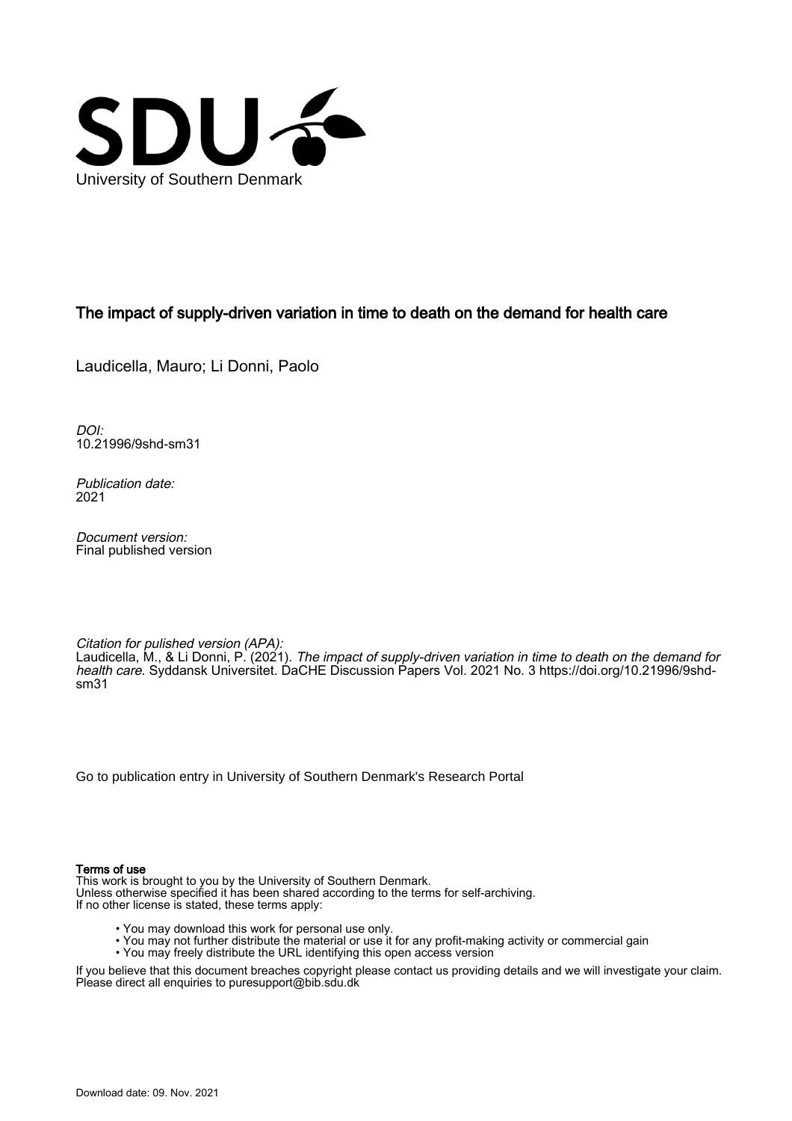

## The impact of supply-driven variation in time to death on the demand for health care

Laudicella, Mauro; Li Donni, Paolo

DOI: [10.21996/9shd-sm31](https://doi.org/10.21996/9shd-sm31)

Publication date: 2021

Document version: Final published version

Citation for pulished version (APA): Laudicella, M., & Li Donni, P. (2021). The impact of supply-driven variation in time to death on the demand for health care. Syddansk Universitet. DaCHE Discussion Papers Vol. 2021 No. 3 [https://doi.org/10.21996/9shd](https://doi.org/10.21996/9shd-sm31)[sm31](https://doi.org/10.21996/9shd-sm31)

[Go to publication entry in University of Southern Denmark's Research Portal](https://portal.findresearcher.sdu.dk/en/publications/9158e3db-10f3-4928-aff0-2f8beedcdea2)

#### Terms of use

This work is brought to you by the University of Southern Denmark. Unless otherwise specified it has been shared according to the terms for self-archiving. If no other license is stated, these terms apply:

- You may download this work for personal use only.
- You may not further distribute the material or use it for any profit-making activity or commercial gain
- You may freely distribute the URL identifying this open access version

If you believe that this document breaches copyright please contact us providing details and we will investigate your claim. Please direct all enquiries to puresupport@bib.sdu.dk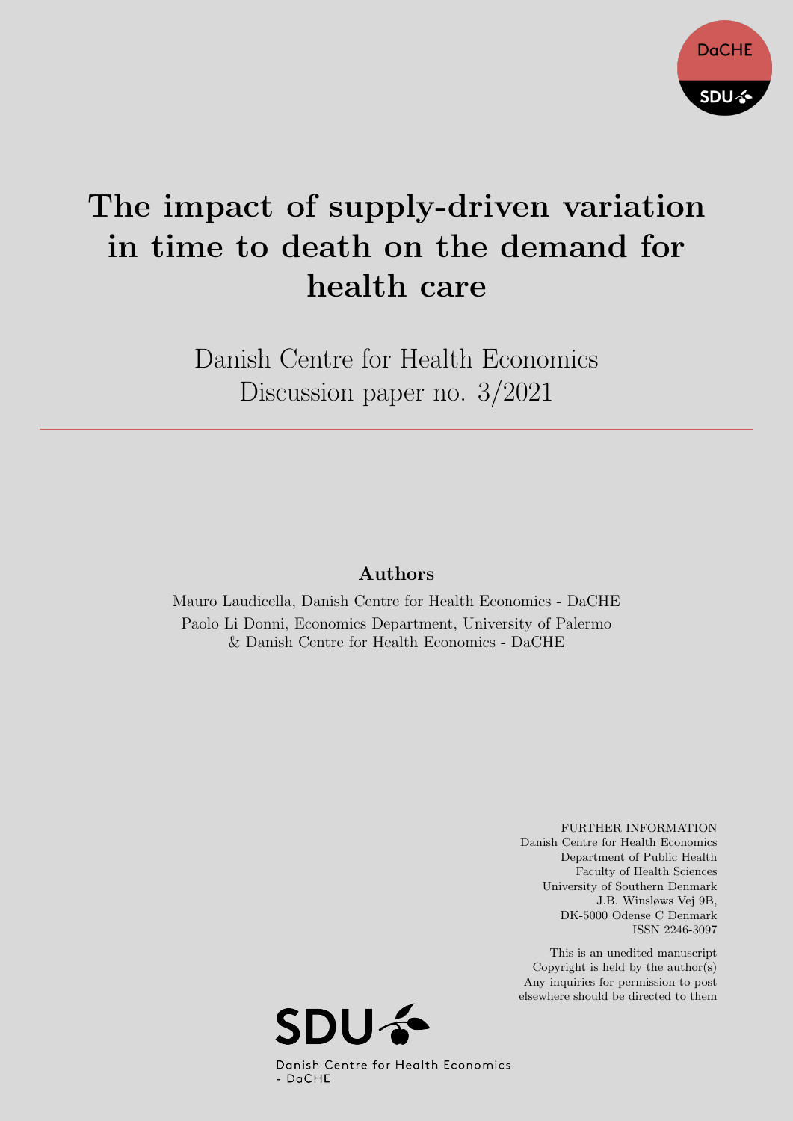

# The impact of supply-driven variation in time to death on the demand for health care

Danish Centre for Health Economics Discussion paper no. 3/2021

## Authors

Mauro Laudicella, Danish Centre for Health Economics - DaCHE Paolo Li Donni, Economics Department, University of Palermo & Danish Centre for Health Economics - DaCHE

> FURTHER INFORMATION Danish Centre for Health Economics Department of Public Health Faculty of Health Sciences University of Southern Denmark J.B. Winsløws Vej 9B, DK-5000 Odense C Denmark ISSN 2246-3097

This is an unedited manuscript Copyright is held by the author(s) Any inquiries for permission to post elsewhere should be directed to them

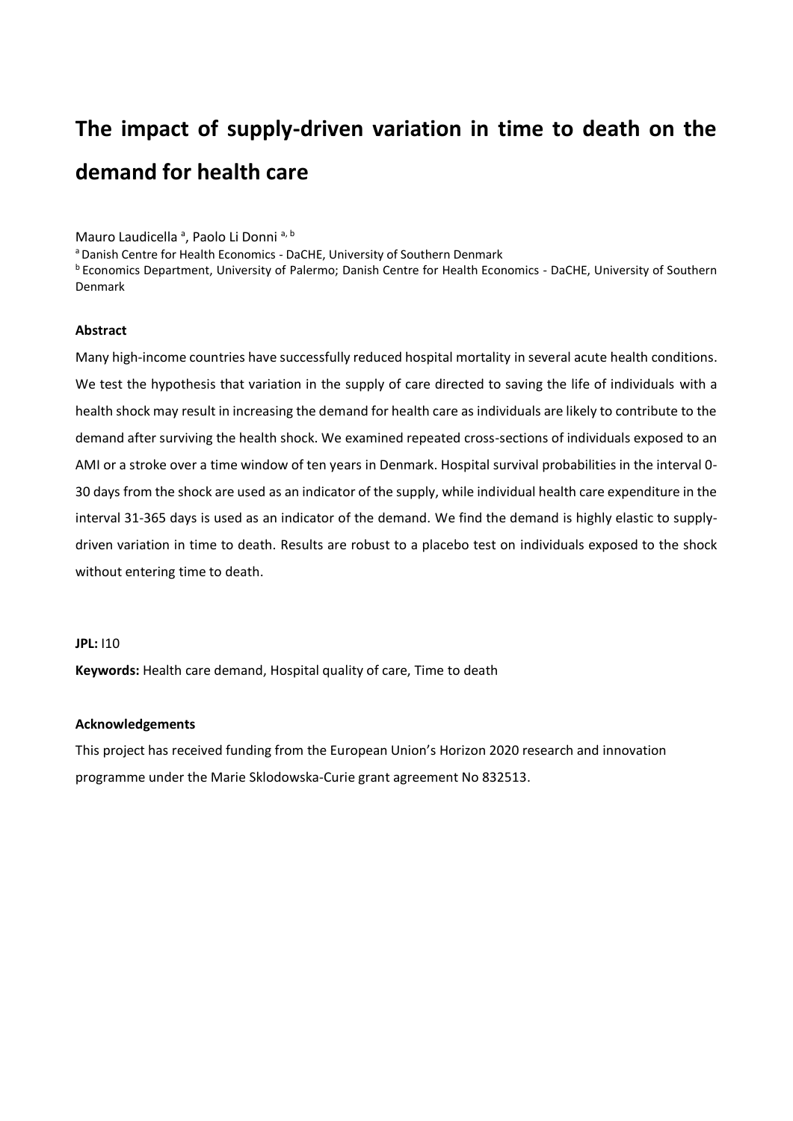## **The impact of supply-driven variation in time to death on the demand for health care**

Mauro Laudicella <sup>a</sup>, Paolo Li Donni a, b

a Danish Centre for Health Economics - DaCHE, University of Southern Denmark

<sup>b</sup> Economics Department, University of Palermo; Danish Centre for Health Economics - DaCHE, University of Southern Denmark

#### **Abstract**

Many high-income countries have successfully reduced hospital mortality in several acute health conditions. We test the hypothesis that variation in the supply of care directed to saving the life of individuals with a health shock may result in increasing the demand for health care as individuals are likely to contribute to the demand after surviving the health shock. We examined repeated cross-sections of individuals exposed to an AMI or a stroke over a time window of ten years in Denmark. Hospital survival probabilities in the interval 0- 30 days from the shock are used as an indicator of the supply, while individual health care expenditure in the interval 31-365 days is used as an indicator of the demand. We find the demand is highly elastic to supplydriven variation in time to death. Results are robust to a placebo test on individuals exposed to the shock without entering time to death.

#### **JPL:** I10

**Keywords:** Health care demand, Hospital quality of care, Time to death

#### **Acknowledgements**

This project has received funding from the European Union's Horizon 2020 research and innovation programme under the Marie Sklodowska-Curie grant agreement No 832513.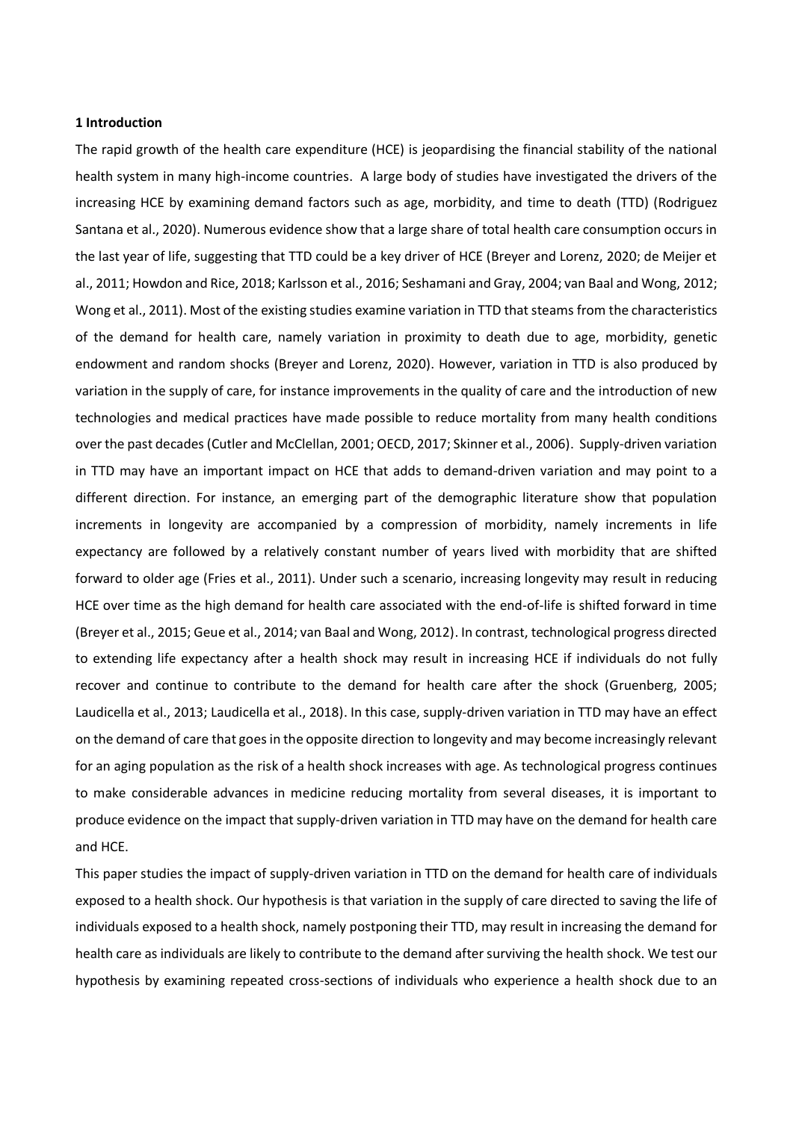#### **1 Introduction**

The rapid growth of the health care expenditure (HCE) is jeopardising the financial stability of the national health system in many high-income countries. A large body of studies have investigated the drivers of the increasing HCE by examining demand factors such as age, morbidity, and time to death (TTD) (Rodriguez Santana et al., 2020). Numerous evidence show that a large share of total health care consumption occurs in the last year of life, suggesting that TTD could be a key driver of HCE (Breyer and Lorenz, 2020; de Meijer et al., 2011; Howdon and Rice, 2018; Karlsson et al., 2016; Seshamani and Gray, 2004; van Baal and Wong, 2012; Wong et al., 2011). Most of the existing studies examine variation in TTD that steams from the characteristics of the demand for health care, namely variation in proximity to death due to age, morbidity, genetic endowment and random shocks (Breyer and Lorenz, 2020). However, variation in TTD is also produced by variation in the supply of care, for instance improvements in the quality of care and the introduction of new technologies and medical practices have made possible to reduce mortality from many health conditions over the past decades (Cutler and McClellan, 2001; OECD, 2017; Skinner et al., 2006). Supply-driven variation in TTD may have an important impact on HCE that adds to demand-driven variation and may point to a different direction. For instance, an emerging part of the demographic literature show that population increments in longevity are accompanied by a compression of morbidity, namely increments in life expectancy are followed by a relatively constant number of years lived with morbidity that are shifted forward to older age (Fries et al., 2011). Under such a scenario, increasing longevity may result in reducing HCE over time as the high demand for health care associated with the end-of-life is shifted forward in time (Breyer et al., 2015; Geue et al., 2014; van Baal and Wong, 2012). In contrast, technological progress directed to extending life expectancy after a health shock may result in increasing HCE if individuals do not fully recover and continue to contribute to the demand for health care after the shock (Gruenberg, 2005; Laudicella et al., 2013; Laudicella et al., 2018). In this case, supply-driven variation in TTD may have an effect on the demand of care that goes in the opposite direction to longevity and may become increasingly relevant for an aging population as the risk of a health shock increases with age. As technological progress continues to make considerable advances in medicine reducing mortality from several diseases, it is important to produce evidence on the impact that supply-driven variation in TTD may have on the demand for health care and HCE.

This paper studies the impact of supply-driven variation in TTD on the demand for health care of individuals exposed to a health shock. Our hypothesis is that variation in the supply of care directed to saving the life of individuals exposed to a health shock, namely postponing their TTD, may result in increasing the demand for health care as individuals are likely to contribute to the demand after surviving the health shock. We test our hypothesis by examining repeated cross-sections of individuals who experience a health shock due to an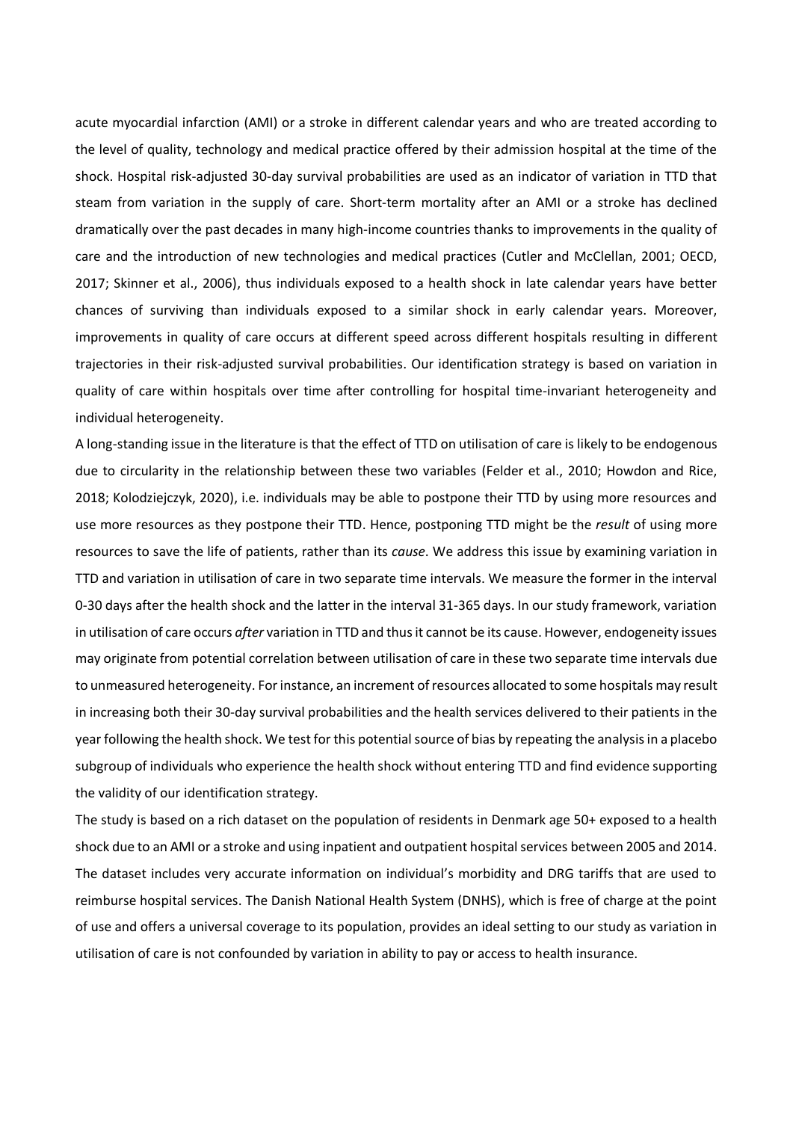acute myocardial infarction (AMI) or a stroke in different calendar years and who are treated according to the level of quality, technology and medical practice offered by their admission hospital at the time of the shock. Hospital risk-adjusted 30-day survival probabilities are used as an indicator of variation in TTD that steam from variation in the supply of care. Short-term mortality after an AMI or a stroke has declined dramatically over the past decades in many high-income countries thanks to improvements in the quality of care and the introduction of new technologies and medical practices (Cutler and McClellan, 2001; OECD, 2017; Skinner et al., 2006), thus individuals exposed to a health shock in late calendar years have better chances of surviving than individuals exposed to a similar shock in early calendar years. Moreover, improvements in quality of care occurs at different speed across different hospitals resulting in different trajectories in their risk-adjusted survival probabilities. Our identification strategy is based on variation in quality of care within hospitals over time after controlling for hospital time-invariant heterogeneity and individual heterogeneity.

A long-standing issue in the literature is that the effect of TTD on utilisation of care is likely to be endogenous due to circularity in the relationship between these two variables (Felder et al., 2010; Howdon and Rice, 2018; Kolodziejczyk, 2020), i.e. individuals may be able to postpone their TTD by using more resources and use more resources as they postpone their TTD. Hence, postponing TTD might be the *result* of using more resources to save the life of patients, rather than its *cause*. We address this issue by examining variation in TTD and variation in utilisation of care in two separate time intervals. We measure the former in the interval 0-30 days after the health shock and the latter in the interval 31-365 days. In our study framework, variation in utilisation of care occurs *after* variation in TTD and thus it cannot be its cause. However, endogeneity issues may originate from potential correlation between utilisation of care in these two separate time intervals due to unmeasured heterogeneity. For instance, an increment ofresources allocated to some hospitals may result in increasing both their 30-day survival probabilities and the health services delivered to their patients in the year following the health shock. We test for this potential source of bias by repeating the analysis in a placebo subgroup of individuals who experience the health shock without entering TTD and find evidence supporting the validity of our identification strategy.

The study is based on a rich dataset on the population of residents in Denmark age 50+ exposed to a health shock due to an AMI or a stroke and using inpatient and outpatient hospital services between 2005 and 2014. The dataset includes very accurate information on individual's morbidity and DRG tariffs that are used to reimburse hospital services. The Danish National Health System (DNHS), which is free of charge at the point of use and offers a universal coverage to its population, provides an ideal setting to our study as variation in utilisation of care is not confounded by variation in ability to pay or access to health insurance.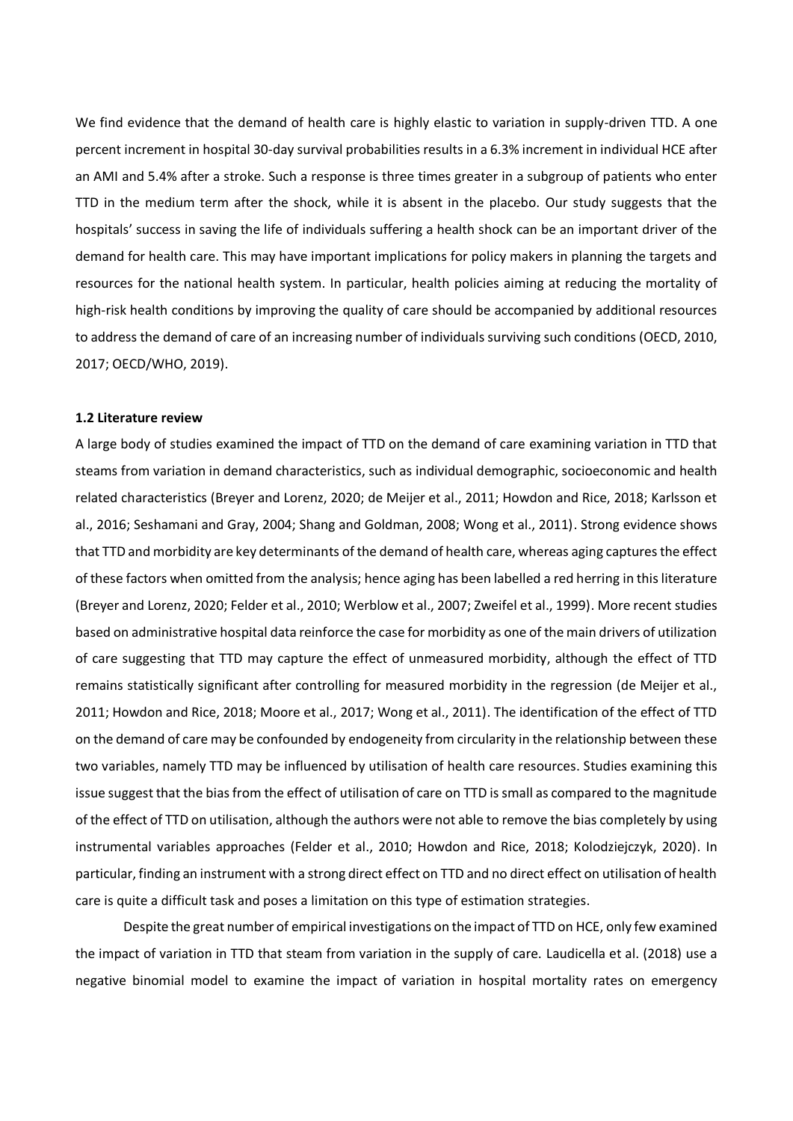We find evidence that the demand of health care is highly elastic to variation in supply-driven TTD. A one percent increment in hospital 30-day survival probabilities results in a 6.3% increment in individual HCE after an AMI and 5.4% after a stroke. Such a response is three times greater in a subgroup of patients who enter TTD in the medium term after the shock, while it is absent in the placebo. Our study suggests that the hospitals' success in saving the life of individuals suffering a health shock can be an important driver of the demand for health care. This may have important implications for policy makers in planning the targets and resources for the national health system. In particular, health policies aiming at reducing the mortality of high-risk health conditions by improving the quality of care should be accompanied by additional resources to address the demand of care of an increasing number of individuals surviving such conditions (OECD, 2010, 2017; OECD/WHO, 2019).

#### **1.2 Literature review**

A large body of studies examined the impact of TTD on the demand of care examining variation in TTD that steams from variation in demand characteristics, such as individual demographic, socioeconomic and health related characteristics (Breyer and Lorenz, 2020; de Meijer et al., 2011; Howdon and Rice, 2018; Karlsson et al., 2016; Seshamani and Gray, 2004; Shang and Goldman, 2008; Wong et al., 2011). Strong evidence shows that TTD and morbidity are key determinants of the demand of health care, whereas aging captures the effect of these factors when omitted from the analysis; hence aging has been labelled a red herring in this literature (Breyer and Lorenz, 2020; Felder et al., 2010; Werblow et al., 2007; Zweifel et al., 1999). More recent studies based on administrative hospital data reinforce the case for morbidity as one of the main drivers of utilization of care suggesting that TTD may capture the effect of unmeasured morbidity, although the effect of TTD remains statistically significant after controlling for measured morbidity in the regression (de Meijer et al., 2011; Howdon and Rice, 2018; Moore et al., 2017; Wong et al., 2011). The identification of the effect of TTD on the demand of care may be confounded by endogeneity from circularity in the relationship between these two variables, namely TTD may be influenced by utilisation of health care resources. Studies examining this issue suggest that the bias from the effect of utilisation of care on TTD is small as compared to the magnitude of the effect of TTD on utilisation, although the authors were not able to remove the bias completely by using instrumental variables approaches (Felder et al., 2010; Howdon and Rice, 2018; Kolodziejczyk, 2020). In particular, finding an instrument with a strong direct effect on TTD and no direct effect on utilisation of health care is quite a difficult task and poses a limitation on this type of estimation strategies.

Despite the great number of empirical investigations on the impact of TTD on HCE, only few examined the impact of variation in TTD that steam from variation in the supply of care. Laudicella et al. (2018) use a negative binomial model to examine the impact of variation in hospital mortality rates on emergency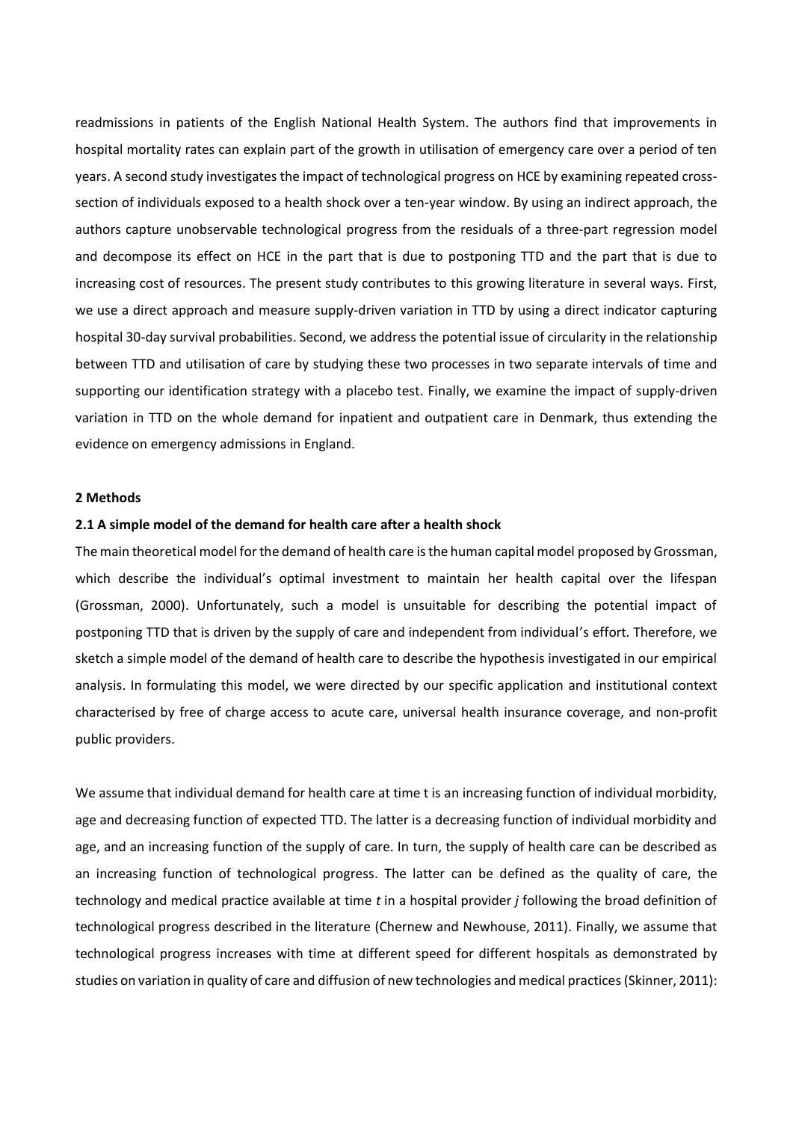readmissions in patients of the English National Health System. The authors find that improvements in hospital mortality rates can explain part of the growth in utilisation of emergency care over a period of ten years. A second study investigates the impact of technological progress on HCE by examining repeated crosssection of individuals exposed to a health shock over a ten-year window. By using an indirect approach, the authors capture unobservable technological progress from the residuals of a three-part regression model and decompose its effect on HCE in the part that is due to postponing TTD and the part that is due to increasing cost of resources. The present study contributes to this growing literature in several ways. First, we use a direct approach and measure supply-driven variation in TTD by using a direct indicator capturing hospital 30-day survival probabilities. Second, we address the potential issue of circularity in the relationship between TTD and utilisation of care by studying these two processes in two separate intervals of time and supporting our identification strategy with a placebo test. Finally, we examine the impact of supply-driven variation in TTD on the whole demand for inpatient and outpatient care in Denmark, thus extending the evidence on emergency admissions in England.

#### **2 Methods**

#### **2.1 A simple model of the demand for health care after a health shock**

The main theoretical model for the demand of health care is the human capital model proposed by Grossman, which describe the individual's optimal investment to maintain her health capital over the lifespan (Grossman, 2000). Unfortunately, such a model is unsuitable for describing the potential impact of postponing TTD that is driven by the supply of care and independent from individual's effort. Therefore, we sketch a simple model of the demand of health care to describe the hypothesis investigated in our empirical analysis. In formulating this model, we were directed by our specific application and institutional context characterised by free of charge access to acute care, universal health insurance coverage, and non-profit public providers.

We assume that individual demand for health care at time t is an increasing function of individual morbidity, age and decreasing function of expected TTD. The latter is a decreasing function of individual morbidity and age, and an increasing function of the supply of care. In turn, the supply of health care can be described as an increasing function of technological progress. The latter can be defined as the quality of care, the technology and medical practice available at time *t* in a hospital provider *j* following the broad definition of technological progress described in the literature (Chernew and Newhouse, 2011). Finally, we assume that technological progress increases with time at different speed for different hospitals as demonstrated by studies on variation in quality of care and diffusion of new technologies and medical practices(Skinner, 2011):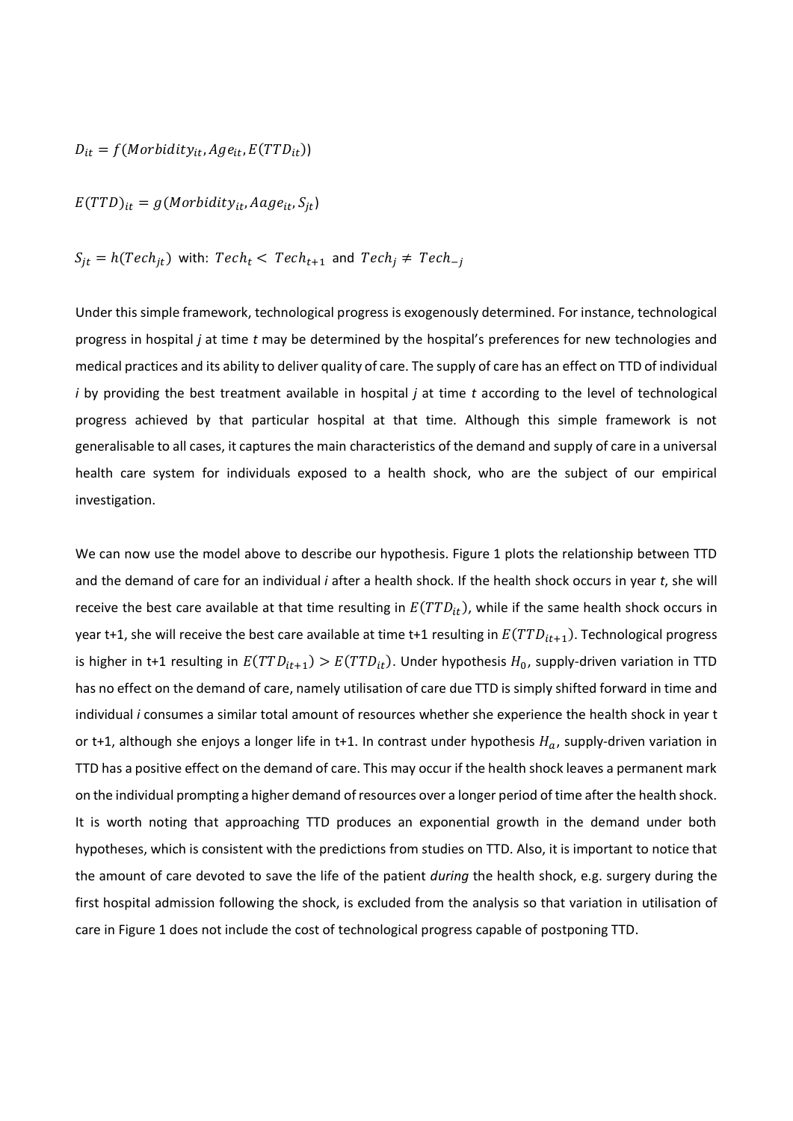$$
D_{it} = f(Morbidity_{it}, Age_{it}, E(TTD_{it}))
$$

$$
E(TTD)_{it} = g(Morbidity_{it}, Aage_{it}, S_{jt})
$$

$$
S_{jt} = h(Tech_{jt})
$$
 with:  $Tech_t < Tech_{t+1}$  and  $Tech_j \neq Tech_{-j}$ 

Under this simple framework, technological progress is exogenously determined. For instance, technological progress in hospital *j* at time *t* may be determined by the hospital's preferences for new technologies and medical practices and its ability to deliver quality of care. The supply of care has an effect on TTD of individual *i* by providing the best treatment available in hospital *j* at time *t* according to the level of technological progress achieved by that particular hospital at that time. Although this simple framework is not generalisable to all cases, it captures the main characteristics of the demand and supply of care in a universal health care system for individuals exposed to a health shock, who are the subject of our empirical investigation.

We can now use the model above to describe our hypothesis. Figure 1 plots the relationship between TTD and the demand of care for an individual *i* after a health shock. If the health shock occurs in year *t*, she will receive the best care available at that time resulting in  $E(TTD_{it})$ , while if the same health shock occurs in year t+1, she will receive the best care available at time t+1 resulting in  $E(TTD_{it+1})$ . Technological progress is higher in t+1 resulting in  $E(TTD_{it+1}) > E(TTD_{it})$ . Under hypothesis  $H_0$ , supply-driven variation in TTD has no effect on the demand of care, namely utilisation of care due TTD is simply shifted forward in time and individual *i* consumes a similar total amount of resources whether she experience the health shock in year t or t+1, although she enjoys a longer life in t+1. In contrast under hypothesis  $H_a$ , supply-driven variation in TTD has a positive effect on the demand of care. This may occur if the health shock leaves a permanent mark on the individual prompting a higher demand ofresources over a longer period of time after the health shock. It is worth noting that approaching TTD produces an exponential growth in the demand under both hypotheses, which is consistent with the predictions from studies on TTD. Also, it is important to notice that the amount of care devoted to save the life of the patient *during* the health shock, e.g. surgery during the first hospital admission following the shock, is excluded from the analysis so that variation in utilisation of care in Figure 1 does not include the cost of technological progress capable of postponing TTD.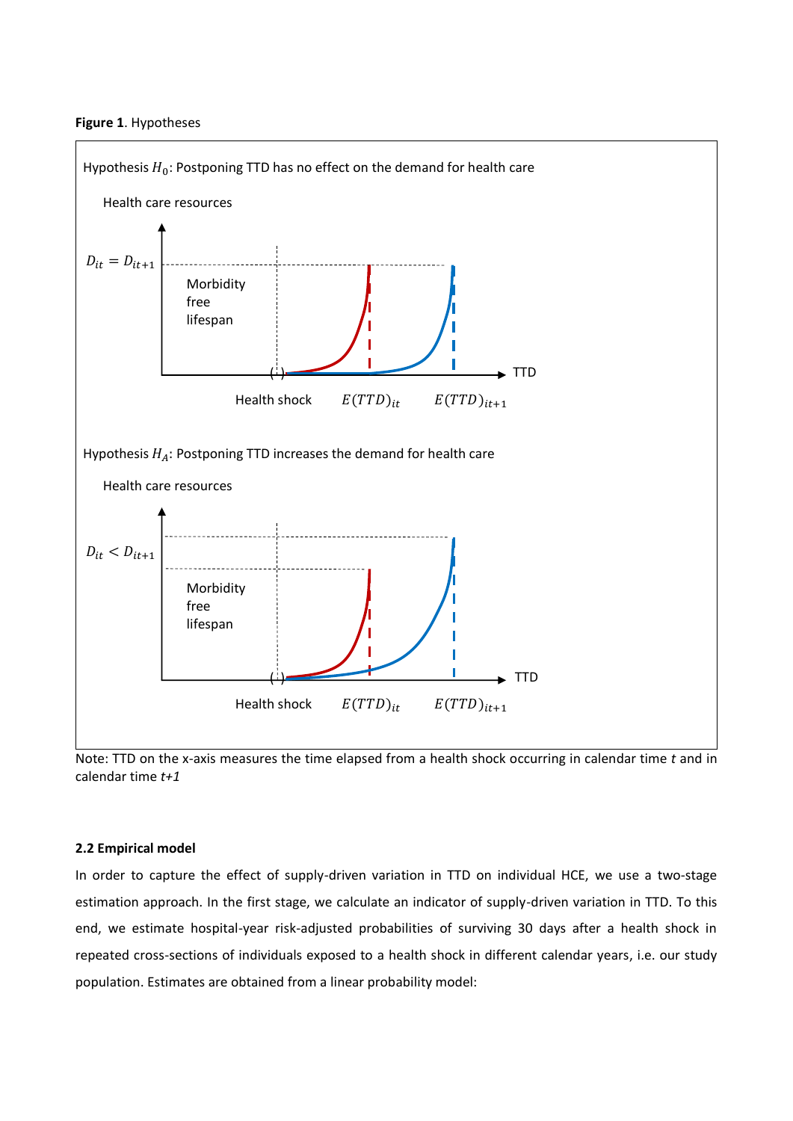#### **Figure 1**. Hypotheses



Note: TTD on the x-axis measures the time elapsed from a health shock occurring in calendar time *t* and in calendar time *t+1*

#### **2.2 Empirical model**

In order to capture the effect of supply-driven variation in TTD on individual HCE, we use a two-stage estimation approach. In the first stage, we calculate an indicator of supply-driven variation in TTD. To this end, we estimate hospital-year risk-adjusted probabilities of surviving 30 days after a health shock in repeated cross-sections of individuals exposed to a health shock in different calendar years, i.e. our study population. Estimates are obtained from a linear probability model: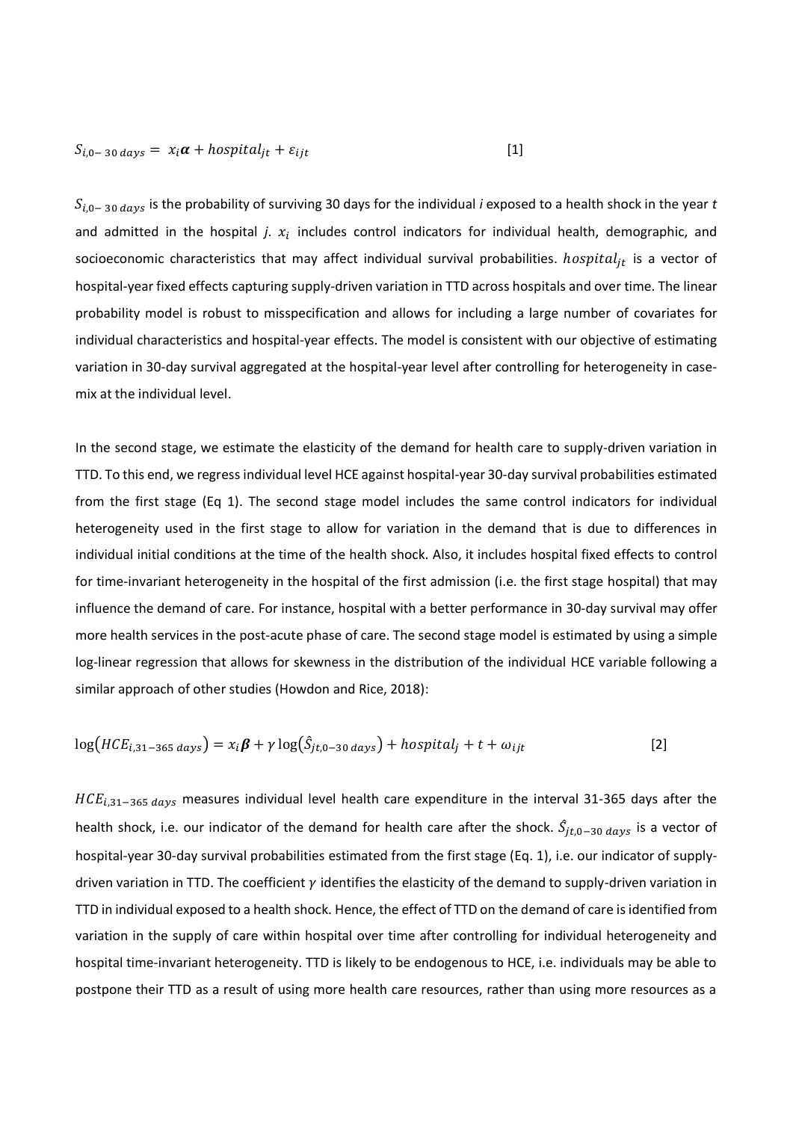$$
S_{i,0-30 \, days} = x_i \alpha + \text{hospital}_{jt} + \varepsilon_{ijt} \tag{1}
$$

 $S_{i,0− 30 \, days}$  is the probability of surviving 30 days for the individual *i* exposed to a health shock in the year *t* and admitted in the hospital  $j$ .  $x_i$  includes control indicators for individual health, demographic, and socioeconomic characteristics that may affect individual survival probabilities.  $hospital_{it}$  is a vector of hospital-year fixed effects capturing supply-driven variation in TTD across hospitals and over time. The linear probability model is robust to misspecification and allows for including a large number of covariates for individual characteristics and hospital-year effects. The model is consistent with our objective of estimating variation in 30-day survival aggregated at the hospital-year level after controlling for heterogeneity in casemix at the individual level.

In the second stage, we estimate the elasticity of the demand for health care to supply-driven variation in TTD. To this end, we regress individual level HCE against hospital-year 30-day survival probabilities estimated from the first stage (Eq 1). The second stage model includes the same control indicators for individual heterogeneity used in the first stage to allow for variation in the demand that is due to differences in individual initial conditions at the time of the health shock. Also, it includes hospital fixed effects to control for time-invariant heterogeneity in the hospital of the first admission (i.e. the first stage hospital) that may influence the demand of care. For instance, hospital with a better performance in 30-day survival may offer more health services in the post-acute phase of care. The second stage model is estimated by using a simple log-linear regression that allows for skewness in the distribution of the individual HCE variable following a similar approach of other studies (Howdon and Rice, 2018):

$$
\log(HCE_{i,31-365 \; days}) = x_i \beta + \gamma \log(\hat{S}_{jt,0-30 \; days}) + \text{hospital}_j + t + \omega_{ijt}
$$
 [2]

 $HCE_{i,31-365 \, days}$  measures individual level health care expenditure in the interval 31-365 days after the health shock, i.e. our indicator of the demand for health care after the shock.  $\hat{S}_{jt,0-30 \; days}$  is a vector of hospital-year 30-day survival probabilities estimated from the first stage (Eq. 1), i.e. our indicator of supplydriven variation in TTD. The coefficient  $\gamma$  identifies the elasticity of the demand to supply-driven variation in TTD in individual exposed to a health shock. Hence, the effect of TTD on the demand of care is identified from variation in the supply of care within hospital over time after controlling for individual heterogeneity and hospital time-invariant heterogeneity. TTD is likely to be endogenous to HCE, i.e. individuals may be able to postpone their TTD as a result of using more health care resources, rather than using more resources as a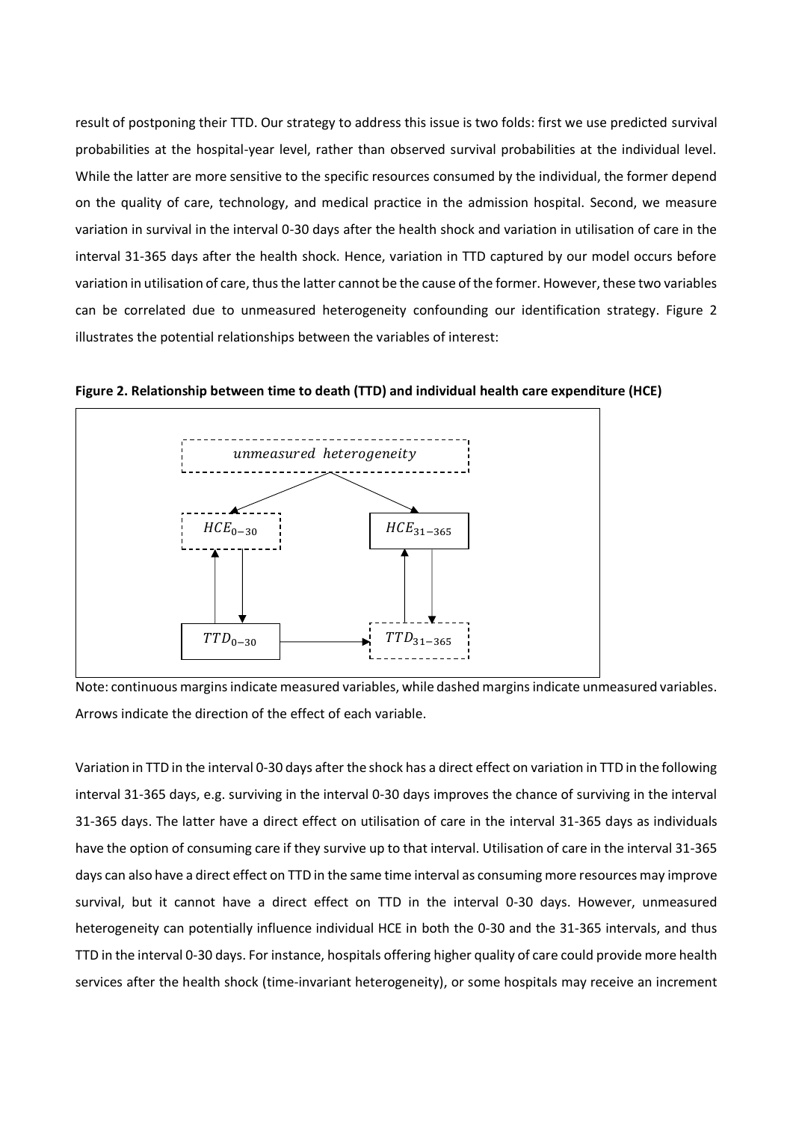result of postponing their TTD. Our strategy to address this issue is two folds: first we use predicted survival probabilities at the hospital-year level, rather than observed survival probabilities at the individual level. While the latter are more sensitive to the specific resources consumed by the individual, the former depend on the quality of care, technology, and medical practice in the admission hospital. Second, we measure variation in survival in the interval 0-30 days after the health shock and variation in utilisation of care in the interval 31-365 days after the health shock. Hence, variation in TTD captured by our model occurs before variation in utilisation of care, thus the latter cannot be the cause of the former. However, these two variables can be correlated due to unmeasured heterogeneity confounding our identification strategy. Figure 2 illustrates the potential relationships between the variables of interest:



**Figure 2. Relationship between time to death (TTD) and individual health care expenditure (HCE)** 

Note: continuous margins indicate measured variables, while dashed margins indicate unmeasured variables. Arrows indicate the direction of the effect of each variable.

Variation in TTD in the interval 0-30 days after the shock has a direct effect on variation in TTD in the following interval 31-365 days, e.g. surviving in the interval 0-30 days improves the chance of surviving in the interval 31-365 days. The latter have a direct effect on utilisation of care in the interval 31-365 days as individuals have the option of consuming care if they survive up to that interval. Utilisation of care in the interval 31-365 days can also have a direct effect on TTD in the same time interval as consuming more resources may improve survival, but it cannot have a direct effect on TTD in the interval 0-30 days. However, unmeasured heterogeneity can potentially influence individual HCE in both the 0-30 and the 31-365 intervals, and thus TTD in the interval 0-30 days. For instance, hospitals offering higher quality of care could provide more health services after the health shock (time-invariant heterogeneity), or some hospitals may receive an increment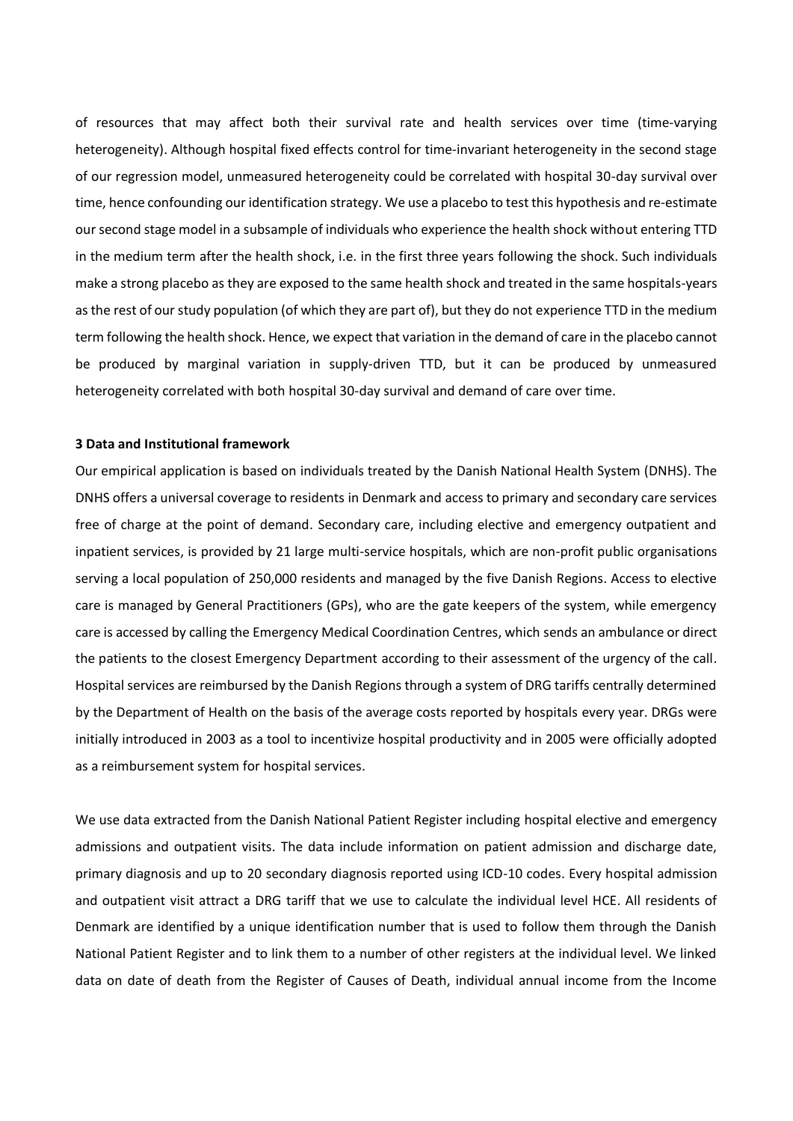of resources that may affect both their survival rate and health services over time (time-varying heterogeneity). Although hospital fixed effects control for time-invariant heterogeneity in the second stage of our regression model, unmeasured heterogeneity could be correlated with hospital 30-day survival over time, hence confounding our identification strategy. We use a placebo to test this hypothesis and re-estimate our second stage model in a subsample of individuals who experience the health shock without entering TTD in the medium term after the health shock, i.e. in the first three years following the shock. Such individuals make a strong placebo as they are exposed to the same health shock and treated in the same hospitals-years as the rest of our study population (of which they are part of), but they do not experience TTD in the medium term following the health shock. Hence, we expect that variation in the demand of care in the placebo cannot be produced by marginal variation in supply-driven TTD, but it can be produced by unmeasured heterogeneity correlated with both hospital 30-day survival and demand of care over time.

#### **3 Data and Institutional framework**

Our empirical application is based on individuals treated by the Danish National Health System (DNHS). The DNHS offers a universal coverage to residents in Denmark and access to primary and secondary care services free of charge at the point of demand. Secondary care, including elective and emergency outpatient and inpatient services, is provided by 21 large multi-service hospitals, which are non-profit public organisations serving a local population of 250,000 residents and managed by the five Danish Regions. Access to elective care is managed by General Practitioners (GPs), who are the gate keepers of the system, while emergency care is accessed by calling the Emergency Medical Coordination Centres, which sends an ambulance or direct the patients to the closest Emergency Department according to their assessment of the urgency of the call. Hospital services are reimbursed by the Danish Regions through a system of DRG tariffs centrally determined by the Department of Health on the basis of the average costs reported by hospitals every year. DRGs were initially introduced in 2003 as a tool to incentivize hospital productivity and in 2005 were officially adopted as a reimbursement system for hospital services.

We use data extracted from the Danish National Patient Register including hospital elective and emergency admissions and outpatient visits. The data include information on patient admission and discharge date, primary diagnosis and up to 20 secondary diagnosis reported using ICD-10 codes. Every hospital admission and outpatient visit attract a DRG tariff that we use to calculate the individual level HCE. All residents of Denmark are identified by a unique identification number that is used to follow them through the Danish National Patient Register and to link them to a number of other registers at the individual level. We linked data on date of death from the Register of Causes of Death, individual annual income from the Income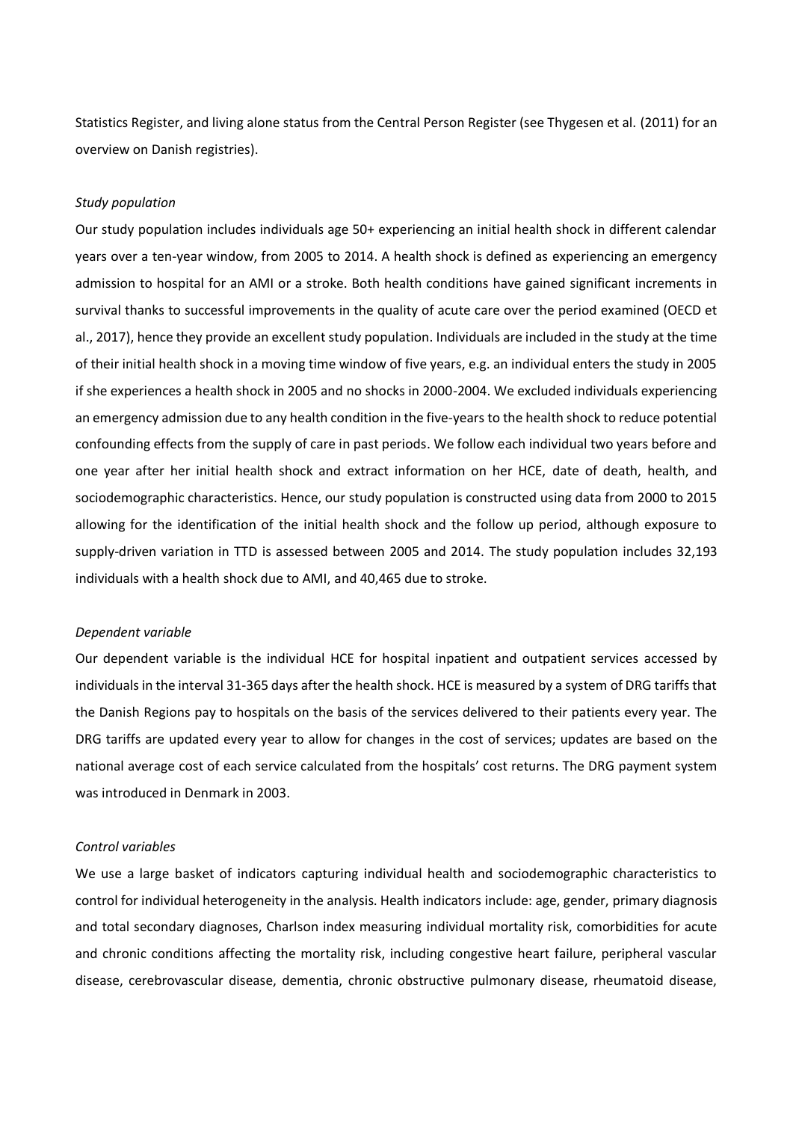Statistics Register, and living alone status from the Central Person Register (see Thygesen et al. (2011) for an overview on Danish registries).

#### *Study population*

Our study population includes individuals age 50+ experiencing an initial health shock in different calendar years over a ten-year window, from 2005 to 2014. A health shock is defined as experiencing an emergency admission to hospital for an AMI or a stroke. Both health conditions have gained significant increments in survival thanks to successful improvements in the quality of acute care over the period examined (OECD et al., 2017), hence they provide an excellent study population. Individuals are included in the study at the time of their initial health shock in a moving time window of five years, e.g. an individual enters the study in 2005 if she experiences a health shock in 2005 and no shocks in 2000-2004. We excluded individuals experiencing an emergency admission due to any health condition in the five-years to the health shock to reduce potential confounding effects from the supply of care in past periods. We follow each individual two years before and one year after her initial health shock and extract information on her HCE, date of death, health, and sociodemographic characteristics. Hence, our study population is constructed using data from 2000 to 2015 allowing for the identification of the initial health shock and the follow up period, although exposure to supply-driven variation in TTD is assessed between 2005 and 2014. The study population includes 32,193 individuals with a health shock due to AMI, and 40,465 due to stroke.

#### *Dependent variable*

Our dependent variable is the individual HCE for hospital inpatient and outpatient services accessed by individuals in the interval 31-365 days after the health shock. HCE is measured by a system of DRG tariffs that the Danish Regions pay to hospitals on the basis of the services delivered to their patients every year. The DRG tariffs are updated every year to allow for changes in the cost of services; updates are based on the national average cost of each service calculated from the hospitals' cost returns. The DRG payment system was introduced in Denmark in 2003.

#### *Control variables*

We use a large basket of indicators capturing individual health and sociodemographic characteristics to control for individual heterogeneity in the analysis. Health indicators include: age, gender, primary diagnosis and total secondary diagnoses, Charlson index measuring individual mortality risk, comorbidities for acute and chronic conditions affecting the mortality risk, including congestive heart failure, peripheral vascular disease, cerebrovascular disease, dementia, chronic obstructive pulmonary disease, rheumatoid disease,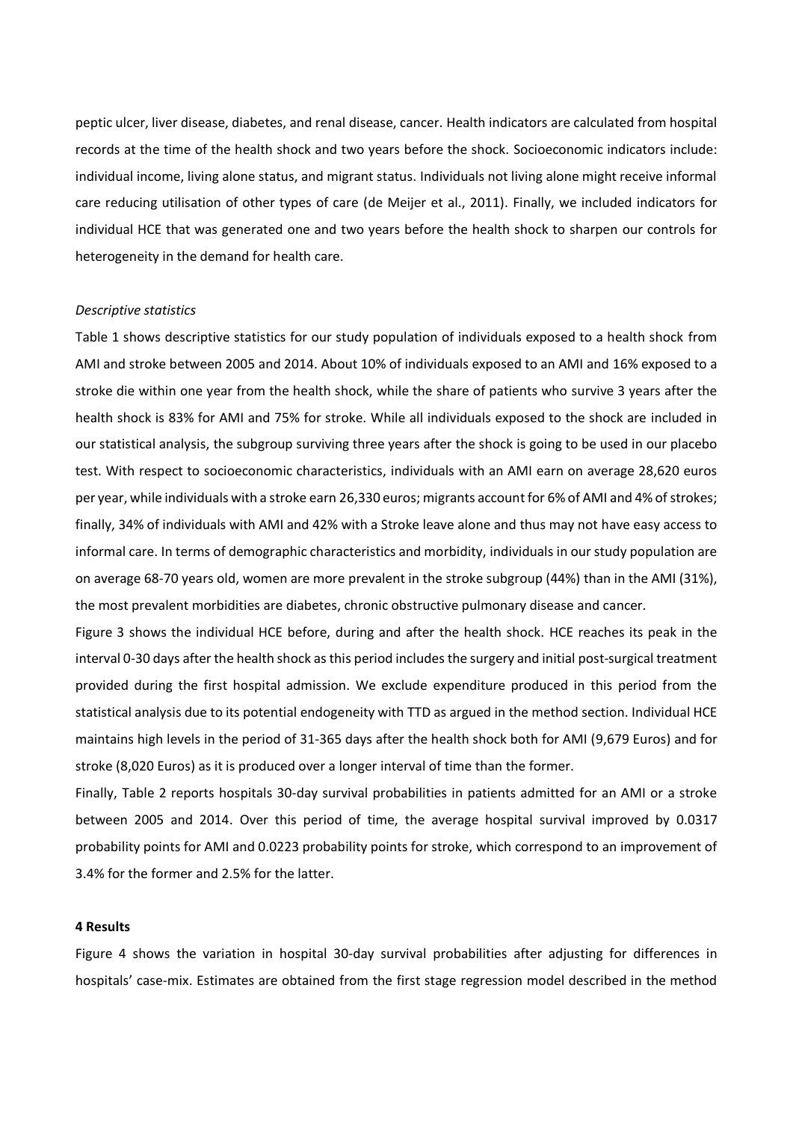peptic ulcer, liver disease, diabetes, and renal disease, cancer. Health indicators are calculated from hospital records at the time of the health shock and two years before the shock. Socioeconomic indicators include: individual income, living alone status, and migrant status. Individuals not living alone might receive informal care reducing utilisation of other types of care (de Meijer et al., 2011). Finally, we included indicators for individual HCE that was generated one and two years before the health shock to sharpen our controls for heterogeneity in the demand for health care.

#### *Descriptive statistics*

Table 1 shows descriptive statistics for our study population of individuals exposed to a health shock from AMI and stroke between 2005 and 2014. About 10% of individuals exposed to an AMI and 16% exposed to a stroke die within one year from the health shock, while the share of patients who survive 3 years after the health shock is 83% for AMI and 75% for stroke. While all individuals exposed to the shock are included in our statistical analysis, the subgroup surviving three years after the shock is going to be used in our placebo test. With respect to socioeconomic characteristics, individuals with an AMI earn on average 28,620 euros per year, while individuals with a stroke earn 26,330 euros; migrants account for 6% of AMI and 4% of strokes; finally, 34% of individuals with AMI and 42% with a Stroke leave alone and thus may not have easy access to informal care. In terms of demographic characteristics and morbidity, individuals in our study population are on average 68-70 years old, women are more prevalent in the stroke subgroup (44%) than in the AMI (31%), the most prevalent morbidities are diabetes, chronic obstructive pulmonary disease and cancer.

Figure 3 shows the individual HCE before, during and after the health shock. HCE reaches its peak in the interval 0-30 days after the health shock as this period includes the surgery and initial post-surgical treatment provided during the first hospital admission. We exclude expenditure produced in this period from the statistical analysis due to its potential endogeneity with TTD as argued in the method section. Individual HCE maintains high levels in the period of 31-365 days after the health shock both for AMI (9,679 Euros) and for stroke (8,020 Euros) as it is produced over a longer interval of time than the former.

Finally, Table 2 reports hospitals 30-day survival probabilities in patients admitted for an AMI or a stroke between 2005 and 2014. Over this period of time, the average hospital survival improved by 0.0317 probability points for AMI and 0.0223 probability points for stroke, which correspond to an improvement of 3.4% for the former and 2.5% for the latter.

#### **4 Results**

Figure 4 shows the variation in hospital 30-day survival probabilities after adjusting for differences in hospitals' case-mix. Estimates are obtained from the first stage regression model described in the method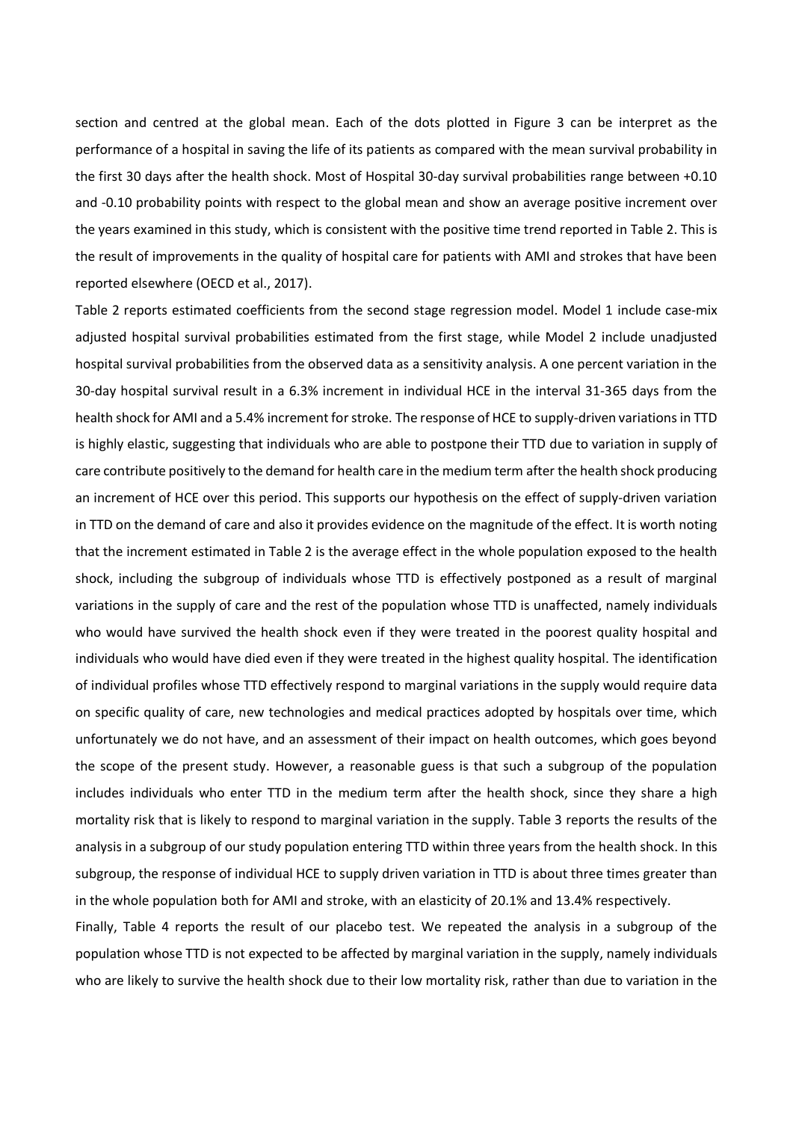section and centred at the global mean. Each of the dots plotted in Figure 3 can be interpret as the performance of a hospital in saving the life of its patients as compared with the mean survival probability in the first 30 days after the health shock. Most of Hospital 30-day survival probabilities range between +0.10 and -0.10 probability points with respect to the global mean and show an average positive increment over the years examined in this study, which is consistent with the positive time trend reported in Table 2. This is the result of improvements in the quality of hospital care for patients with AMI and strokes that have been reported elsewhere (OECD et al., 2017).

Table 2 reports estimated coefficients from the second stage regression model. Model 1 include case-mix adjusted hospital survival probabilities estimated from the first stage, while Model 2 include unadjusted hospital survival probabilities from the observed data as a sensitivity analysis. A one percent variation in the 30-day hospital survival result in a 6.3% increment in individual HCE in the interval 31-365 days from the health shock for AMI and a 5.4% increment for stroke. The response of HCE to supply-driven variations in TTD is highly elastic, suggesting that individuals who are able to postpone their TTD due to variation in supply of care contribute positively to the demand for health care in the medium term after the health shock producing an increment of HCE over this period. This supports our hypothesis on the effect of supply-driven variation in TTD on the demand of care and also it provides evidence on the magnitude of the effect. It is worth noting that the increment estimated in Table 2 is the average effect in the whole population exposed to the health shock, including the subgroup of individuals whose TTD is effectively postponed as a result of marginal variations in the supply of care and the rest of the population whose TTD is unaffected, namely individuals who would have survived the health shock even if they were treated in the poorest quality hospital and individuals who would have died even if they were treated in the highest quality hospital. The identification of individual profiles whose TTD effectively respond to marginal variations in the supply would require data on specific quality of care, new technologies and medical practices adopted by hospitals over time, which unfortunately we do not have, and an assessment of their impact on health outcomes, which goes beyond the scope of the present study. However, a reasonable guess is that such a subgroup of the population includes individuals who enter TTD in the medium term after the health shock, since they share a high mortality risk that is likely to respond to marginal variation in the supply. Table 3 reports the results of the analysis in a subgroup of our study population entering TTD within three years from the health shock. In this subgroup, the response of individual HCE to supply driven variation in TTD is about three times greater than in the whole population both for AMI and stroke, with an elasticity of 20.1% and 13.4% respectively.

Finally, Table 4 reports the result of our placebo test. We repeated the analysis in a subgroup of the population whose TTD is not expected to be affected by marginal variation in the supply, namely individuals who are likely to survive the health shock due to their low mortality risk, rather than due to variation in the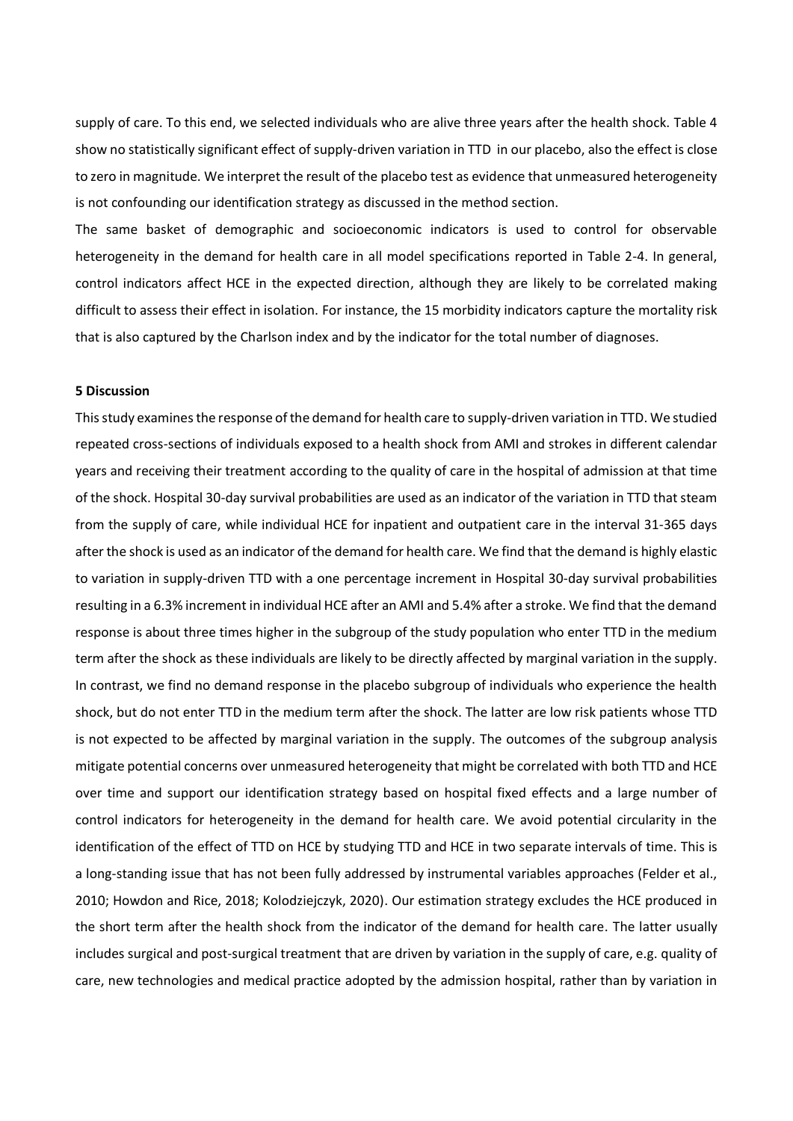supply of care. To this end, we selected individuals who are alive three years after the health shock. Table 4 show no statistically significant effect of supply-driven variation in TTD in our placebo, also the effect is close to zero in magnitude. We interpret the result of the placebo test as evidence that unmeasured heterogeneity is not confounding our identification strategy as discussed in the method section.

The same basket of demographic and socioeconomic indicators is used to control for observable heterogeneity in the demand for health care in all model specifications reported in Table 2-4. In general, control indicators affect HCE in the expected direction, although they are likely to be correlated making difficult to assess their effect in isolation. For instance, the 15 morbidity indicators capture the mortality risk that is also captured by the Charlson index and by the indicator for the total number of diagnoses.

#### **5 Discussion**

This study examines the response of the demand for health care to supply-driven variation in TTD. We studied repeated cross-sections of individuals exposed to a health shock from AMI and strokes in different calendar years and receiving their treatment according to the quality of care in the hospital of admission at that time of the shock. Hospital 30-day survival probabilities are used as an indicator of the variation in TTD that steam from the supply of care, while individual HCE for inpatient and outpatient care in the interval 31-365 days after the shock is used as an indicator of the demand for health care. We find that the demand is highly elastic to variation in supply-driven TTD with a one percentage increment in Hospital 30-day survival probabilities resulting in a 6.3% increment in individual HCE after an AMI and 5.4% after a stroke. We find that the demand response is about three times higher in the subgroup of the study population who enter TTD in the medium term after the shock as these individuals are likely to be directly affected by marginal variation in the supply. In contrast, we find no demand response in the placebo subgroup of individuals who experience the health shock, but do not enter TTD in the medium term after the shock. The latter are low risk patients whose TTD is not expected to be affected by marginal variation in the supply. The outcomes of the subgroup analysis mitigate potential concerns over unmeasured heterogeneity that might be correlated with both TTD and HCE over time and support our identification strategy based on hospital fixed effects and a large number of control indicators for heterogeneity in the demand for health care. We avoid potential circularity in the identification of the effect of TTD on HCE by studying TTD and HCE in two separate intervals of time. This is a long-standing issue that has not been fully addressed by instrumental variables approaches (Felder et al., 2010; Howdon and Rice, 2018; Kolodziejczyk, 2020). Our estimation strategy excludes the HCE produced in the short term after the health shock from the indicator of the demand for health care. The latter usually includes surgical and post-surgical treatment that are driven by variation in the supply of care, e.g. quality of care, new technologies and medical practice adopted by the admission hospital, rather than by variation in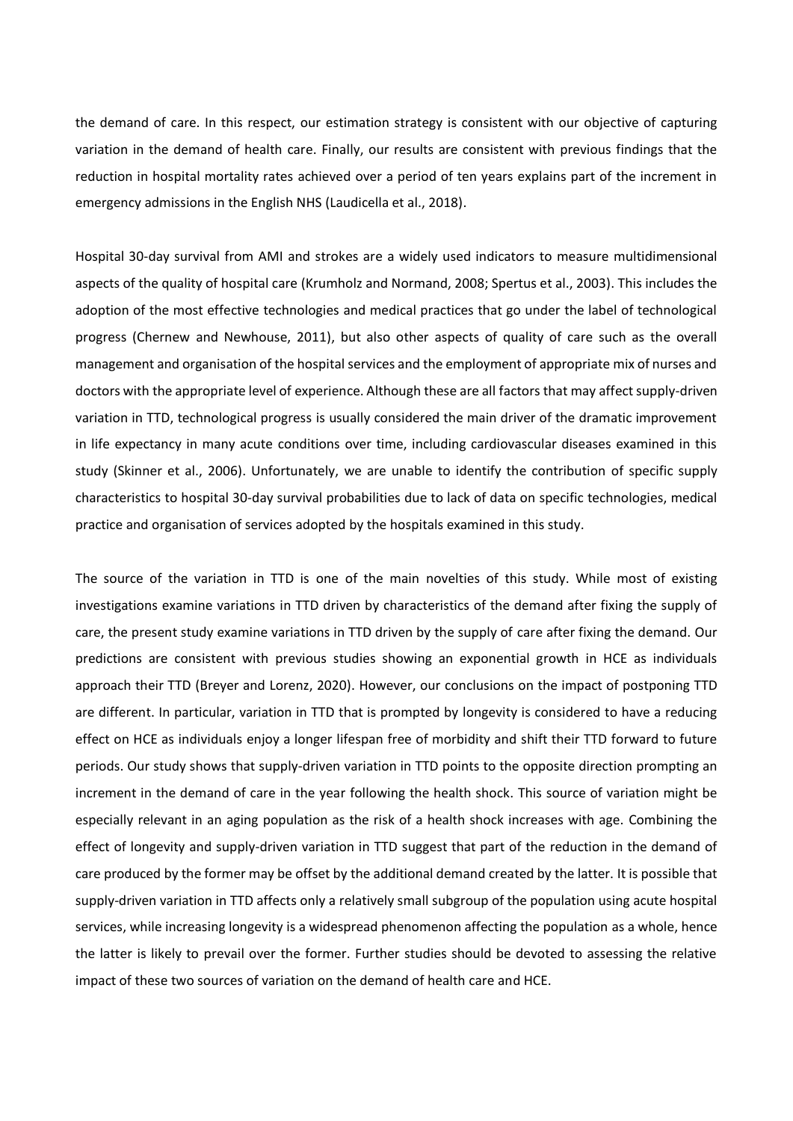the demand of care. In this respect, our estimation strategy is consistent with our objective of capturing variation in the demand of health care. Finally, our results are consistent with previous findings that the reduction in hospital mortality rates achieved over a period of ten years explains part of the increment in emergency admissions in the English NHS (Laudicella et al., 2018).

Hospital 30-day survival from AMI and strokes are a widely used indicators to measure multidimensional aspects of the quality of hospital care (Krumholz and Normand, 2008; Spertus et al., 2003). This includes the adoption of the most effective technologies and medical practices that go under the label of technological progress (Chernew and Newhouse, 2011), but also other aspects of quality of care such as the overall management and organisation of the hospital services and the employment of appropriate mix of nurses and doctors with the appropriate level of experience. Although these are all factors that may affect supply-driven variation in TTD, technological progress is usually considered the main driver of the dramatic improvement in life expectancy in many acute conditions over time, including cardiovascular diseases examined in this study (Skinner et al., 2006). Unfortunately, we are unable to identify the contribution of specific supply characteristics to hospital 30-day survival probabilities due to lack of data on specific technologies, medical practice and organisation of services adopted by the hospitals examined in this study.

The source of the variation in TTD is one of the main novelties of this study. While most of existing investigations examine variations in TTD driven by characteristics of the demand after fixing the supply of care, the present study examine variations in TTD driven by the supply of care after fixing the demand. Our predictions are consistent with previous studies showing an exponential growth in HCE as individuals approach their TTD (Breyer and Lorenz, 2020). However, our conclusions on the impact of postponing TTD are different. In particular, variation in TTD that is prompted by longevity is considered to have a reducing effect on HCE as individuals enjoy a longer lifespan free of morbidity and shift their TTD forward to future periods. Our study shows that supply-driven variation in TTD points to the opposite direction prompting an increment in the demand of care in the year following the health shock. This source of variation might be especially relevant in an aging population as the risk of a health shock increases with age. Combining the effect of longevity and supply-driven variation in TTD suggest that part of the reduction in the demand of care produced by the former may be offset by the additional demand created by the latter. It is possible that supply-driven variation in TTD affects only a relatively small subgroup of the population using acute hospital services, while increasing longevity is a widespread phenomenon affecting the population as a whole, hence the latter is likely to prevail over the former. Further studies should be devoted to assessing the relative impact of these two sources of variation on the demand of health care and HCE.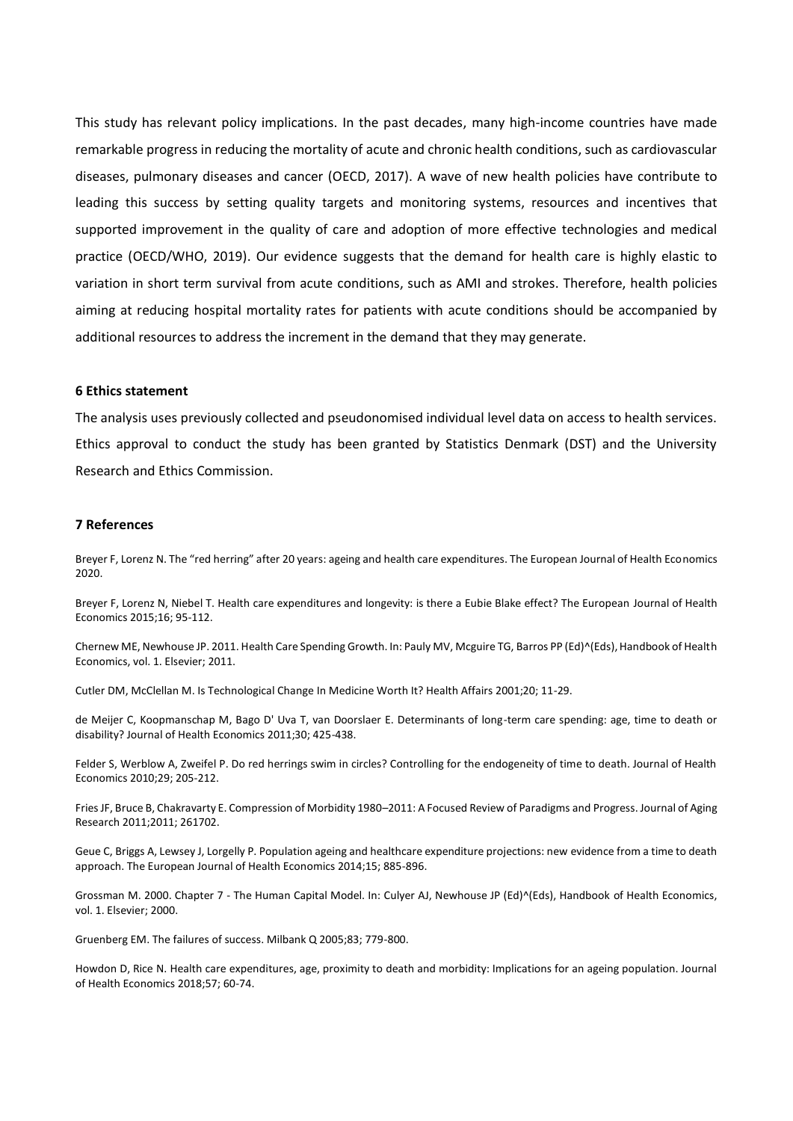This study has relevant policy implications. In the past decades, many high-income countries have made remarkable progress in reducing the mortality of acute and chronic health conditions, such as cardiovascular diseases, pulmonary diseases and cancer (OECD, 2017). A wave of new health policies have contribute to leading this success by setting quality targets and monitoring systems, resources and incentives that supported improvement in the quality of care and adoption of more effective technologies and medical practice (OECD/WHO, 2019). Our evidence suggests that the demand for health care is highly elastic to variation in short term survival from acute conditions, such as AMI and strokes. Therefore, health policies aiming at reducing hospital mortality rates for patients with acute conditions should be accompanied by additional resources to address the increment in the demand that they may generate.

#### **6 Ethics statement**

The analysis uses previously collected and pseudonomised individual level data on access to health services. Ethics approval to conduct the study has been granted by Statistics Denmark (DST) and the University Research and Ethics Commission.

#### **7 References**

Breyer F, Lorenz N. The "red herring" after 20 years: ageing and health care expenditures. The European Journal of Health Economics 2020.

Breyer F, Lorenz N, Niebel T. Health care expenditures and longevity: is there a Eubie Blake effect? The European Journal of Health Economics 2015;16; 95-112.

Chernew ME, Newhouse JP. 2011. Health Care Spending Growth. In: Pauly MV, Mcguire TG, Barros PP (Ed)^(Eds), Handbook of Health Economics, vol. 1. Elsevier; 2011.

Cutler DM, McClellan M. Is Technological Change In Medicine Worth It? Health Affairs 2001;20; 11-29.

de Meijer C, Koopmanschap M, Bago D' Uva T, van Doorslaer E. Determinants of long-term care spending: age, time to death or disability? Journal of Health Economics 2011;30; 425-438.

Felder S, Werblow A, Zweifel P. Do red herrings swim in circles? Controlling for the endogeneity of time to death. Journal of Health Economics 2010;29; 205-212.

Fries JF, Bruce B, Chakravarty E. Compression of Morbidity 1980–2011: A Focused Review of Paradigms and Progress. Journal of Aging Research 2011;2011; 261702.

Geue C, Briggs A, Lewsey J, Lorgelly P. Population ageing and healthcare expenditure projections: new evidence from a time to death approach. The European Journal of Health Economics 2014;15; 885-896.

Grossman M. 2000. Chapter 7 - The Human Capital Model. In: Culyer AJ, Newhouse JP (Ed)^(Eds), Handbook of Health Economics, vol. 1. Elsevier; 2000.

Gruenberg EM. The failures of success. Milbank Q 2005;83; 779-800.

Howdon D, Rice N. Health care expenditures, age, proximity to death and morbidity: Implications for an ageing population. Journal of Health Economics 2018;57; 60-74.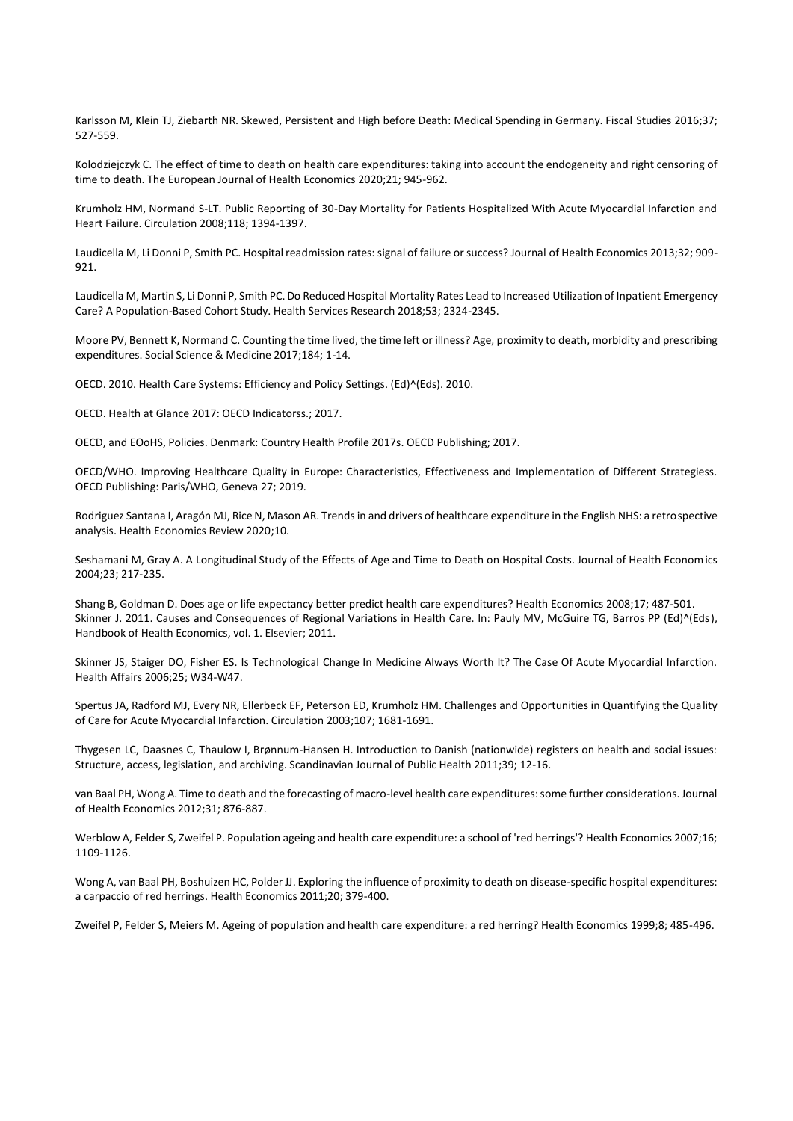Karlsson M, Klein TJ, Ziebarth NR. Skewed, Persistent and High before Death: Medical Spending in Germany. Fiscal Studies 2016;37; 527-559.

Kolodziejczyk C. The effect of time to death on health care expenditures: taking into account the endogeneity and right censoring of time to death. The European Journal of Health Economics 2020;21; 945-962.

Krumholz HM, Normand S-LT. Public Reporting of 30-Day Mortality for Patients Hospitalized With Acute Myocardial Infarction and Heart Failure. Circulation 2008;118; 1394-1397.

Laudicella M, Li Donni P, Smith PC. Hospital readmission rates: signal of failure or success? Journal of Health Economics 2013;32; 909- 921

Laudicella M, Martin S, Li Donni P, Smith PC. Do Reduced Hospital Mortality Rates Lead to Increased Utilization of Inpatient Emergency Care? A Population-Based Cohort Study. Health Services Research 2018;53; 2324-2345.

Moore PV, Bennett K, Normand C. Counting the time lived, the time left or illness? Age, proximity to death, morbidity and prescribing expenditures. Social Science & Medicine 2017;184; 1-14.

OECD. 2010. Health Care Systems: Efficiency and Policy Settings. (Ed)^(Eds). 2010.

OECD. Health at Glance 2017: OECD Indicatorss.; 2017.

OECD, and EOoHS, Policies. Denmark: Country Health Profile 2017s. OECD Publishing; 2017.

OECD/WHO. Improving Healthcare Quality in Europe: Characteristics, Effectiveness and Implementation of Different Strategiess. OECD Publishing: Paris/WHO, Geneva 27; 2019.

Rodriguez Santana I, Aragón MJ, Rice N, Mason AR. Trends in and drivers of healthcare expenditure in the English NHS: a retrospective analysis. Health Economics Review 2020;10.

Seshamani M, Gray A. A Longitudinal Study of the Effects of Age and Time to Death on Hospital Costs. Journal of Health Economics 2004;23; 217-235.

Shang B, Goldman D. Does age or life expectancy better predict health care expenditures? Health Economics 2008;17; 487-501. Skinner J. 2011. Causes and Consequences of Regional Variations in Health Care. In: Pauly MV, McGuire TG, Barros PP (Ed)^(Eds), Handbook of Health Economics, vol. 1. Elsevier; 2011.

Skinner JS, Staiger DO, Fisher ES. Is Technological Change In Medicine Always Worth It? The Case Of Acute Myocardial Infarction. Health Affairs 2006;25; W34-W47.

Spertus JA, Radford MJ, Every NR, Ellerbeck EF, Peterson ED, Krumholz HM. Challenges and Opportunities in Quantifying the Quality of Care for Acute Myocardial Infarction. Circulation 2003;107; 1681-1691.

Thygesen LC, Daasnes C, Thaulow I, Brønnum-Hansen H. Introduction to Danish (nationwide) registers on health and social issues: Structure, access, legislation, and archiving. Scandinavian Journal of Public Health 2011;39; 12-16.

van Baal PH, Wong A. Time to death and the forecasting of macro-level health care expenditures: some further considerations. Journal of Health Economics 2012;31; 876-887.

Werblow A, Felder S, Zweifel P. Population ageing and health care expenditure: a school of 'red herrings'? Health Economics 2007;16; 1109-1126.

Wong A, van Baal PH, Boshuizen HC, Polder JJ. Exploring the influence of proximity to death on disease-specific hospital expenditures: a carpaccio of red herrings. Health Economics 2011;20; 379-400.

Zweifel P, Felder S, Meiers M. Ageing of population and health care expenditure: a red herring? Health Economics 1999;8; 485-496.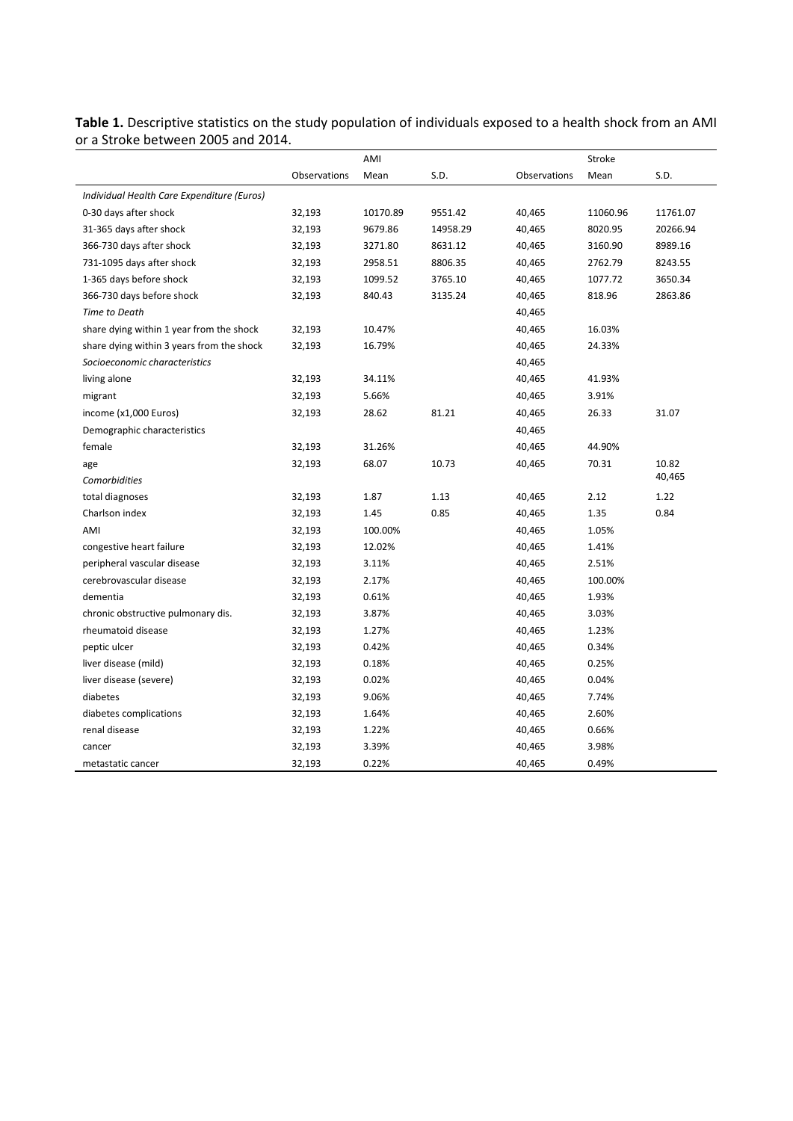|                                            |              | AMI      |          |              | Stroke   |          |
|--------------------------------------------|--------------|----------|----------|--------------|----------|----------|
|                                            | Observations | Mean     | S.D.     | Observations | Mean     | S.D.     |
| Individual Health Care Expenditure (Euros) |              |          |          |              |          |          |
| 0-30 days after shock                      | 32,193       | 10170.89 | 9551.42  | 40,465       | 11060.96 | 11761.07 |
| 31-365 days after shock                    | 32,193       | 9679.86  | 14958.29 | 40,465       | 8020.95  | 20266.94 |
| 366-730 days after shock                   | 32,193       | 3271.80  | 8631.12  | 40,465       | 3160.90  | 8989.16  |
| 731-1095 days after shock                  | 32,193       | 2958.51  | 8806.35  | 40,465       | 2762.79  | 8243.55  |
| 1-365 days before shock                    | 32,193       | 1099.52  | 3765.10  | 40,465       | 1077.72  | 3650.34  |
| 366-730 days before shock                  | 32,193       | 840.43   | 3135.24  | 40,465       | 818.96   | 2863.86  |
| Time to Death                              |              |          |          | 40,465       |          |          |
| share dying within 1 year from the shock   | 32,193       | 10.47%   |          | 40,465       | 16.03%   |          |
| share dying within 3 years from the shock  | 32,193       | 16.79%   |          | 40,465       | 24.33%   |          |
| Socioeconomic characteristics              |              |          |          | 40,465       |          |          |
| living alone                               | 32,193       | 34.11%   |          | 40,465       | 41.93%   |          |
| migrant                                    | 32,193       | 5.66%    |          | 40,465       | 3.91%    |          |
| income (x1,000 Euros)                      | 32,193       | 28.62    | 81.21    | 40,465       | 26.33    | 31.07    |
| Demographic characteristics                |              |          |          | 40,465       |          |          |
| female                                     | 32,193       | 31.26%   |          | 40,465       | 44.90%   |          |
| age                                        | 32,193       | 68.07    | 10.73    | 40,465       | 70.31    | 10.82    |
| Comorbidities                              |              |          |          |              |          | 40,465   |
| total diagnoses                            | 32,193       | 1.87     | 1.13     | 40,465       | 2.12     | 1.22     |
| Charlson index                             | 32,193       | 1.45     | 0.85     | 40,465       | 1.35     | 0.84     |
| AMI                                        | 32,193       | 100.00%  |          | 40,465       | 1.05%    |          |
| congestive heart failure                   | 32,193       | 12.02%   |          | 40,465       | 1.41%    |          |
| peripheral vascular disease                | 32,193       | 3.11%    |          | 40,465       | 2.51%    |          |
| cerebrovascular disease                    | 32,193       | 2.17%    |          | 40,465       | 100.00%  |          |
| dementia                                   | 32,193       | 0.61%    |          | 40,465       | 1.93%    |          |
| chronic obstructive pulmonary dis.         | 32,193       | 3.87%    |          | 40,465       | 3.03%    |          |
| rheumatoid disease                         | 32,193       | 1.27%    |          | 40,465       | 1.23%    |          |
| peptic ulcer                               | 32,193       | 0.42%    |          | 40,465       | 0.34%    |          |
| liver disease (mild)                       | 32,193       | 0.18%    |          | 40,465       | 0.25%    |          |
| liver disease (severe)                     | 32,193       | 0.02%    |          | 40,465       | 0.04%    |          |
| diabetes                                   | 32,193       | 9.06%    |          | 40,465       | 7.74%    |          |
| diabetes complications                     | 32,193       | 1.64%    |          | 40,465       | 2.60%    |          |
| renal disease                              | 32,193       | 1.22%    |          | 40,465       | 0.66%    |          |
| cancer                                     | 32,193       | 3.39%    |          | 40,465       | 3.98%    |          |
| metastatic cancer                          | 32,193       | 0.22%    |          | 40,465       | 0.49%    |          |

**Table 1.** Descriptive statistics on the study population of individuals exposed to a health shock from an AMI or a Stroke between 2005 and 2014.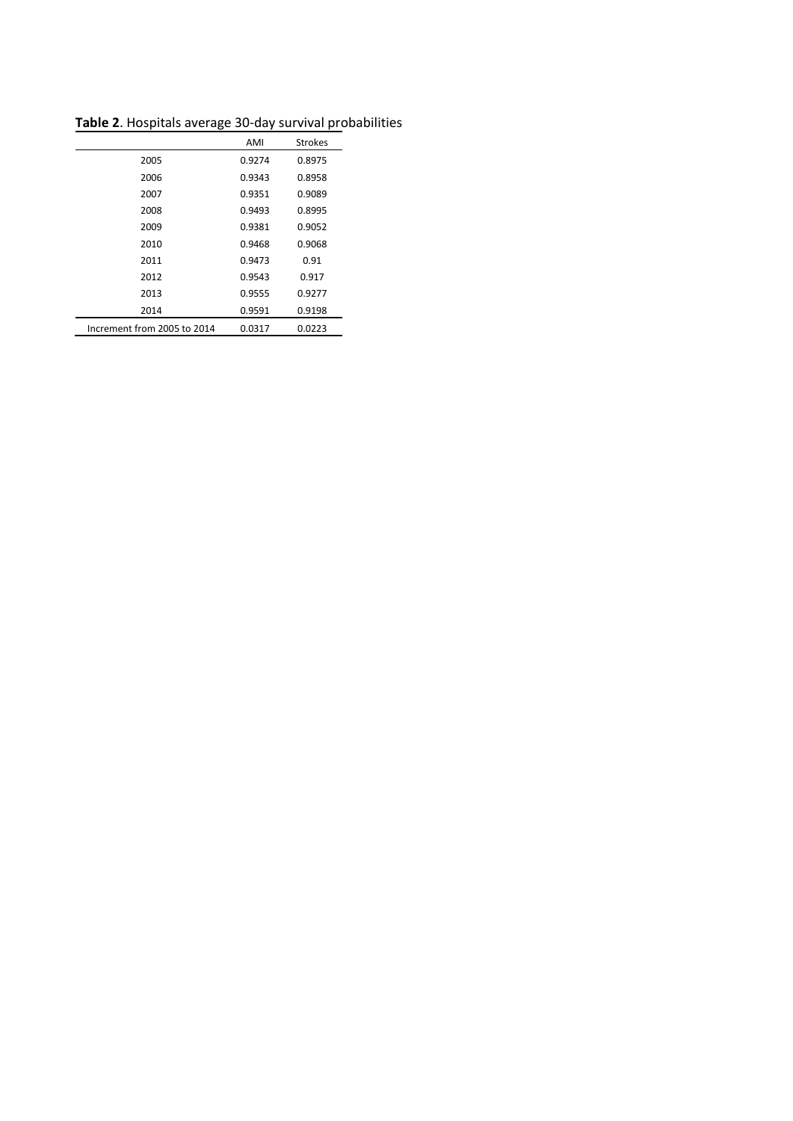|                             | AMI    | <b>Strokes</b> |
|-----------------------------|--------|----------------|
| 2005                        | 0.9274 | 0.8975         |
| 2006                        | 0.9343 | 0.8958         |
| 2007                        | 0.9351 | 0.9089         |
| 2008                        | 0.9493 | 0.8995         |
| 2009                        | 0.9381 | 0.9052         |
| 2010                        | 0.9468 | 0.9068         |
| 2011                        | 0.9473 | 0.91           |
| 2012                        | 0.9543 | 0.917          |
| 2013                        | 0.9555 | 0.9277         |
| 2014                        | 0.9591 | 0.9198         |
| Increment from 2005 to 2014 | 0.0317 | 0.0223         |

**Table 2**. Hospitals average 30-day survival probabilities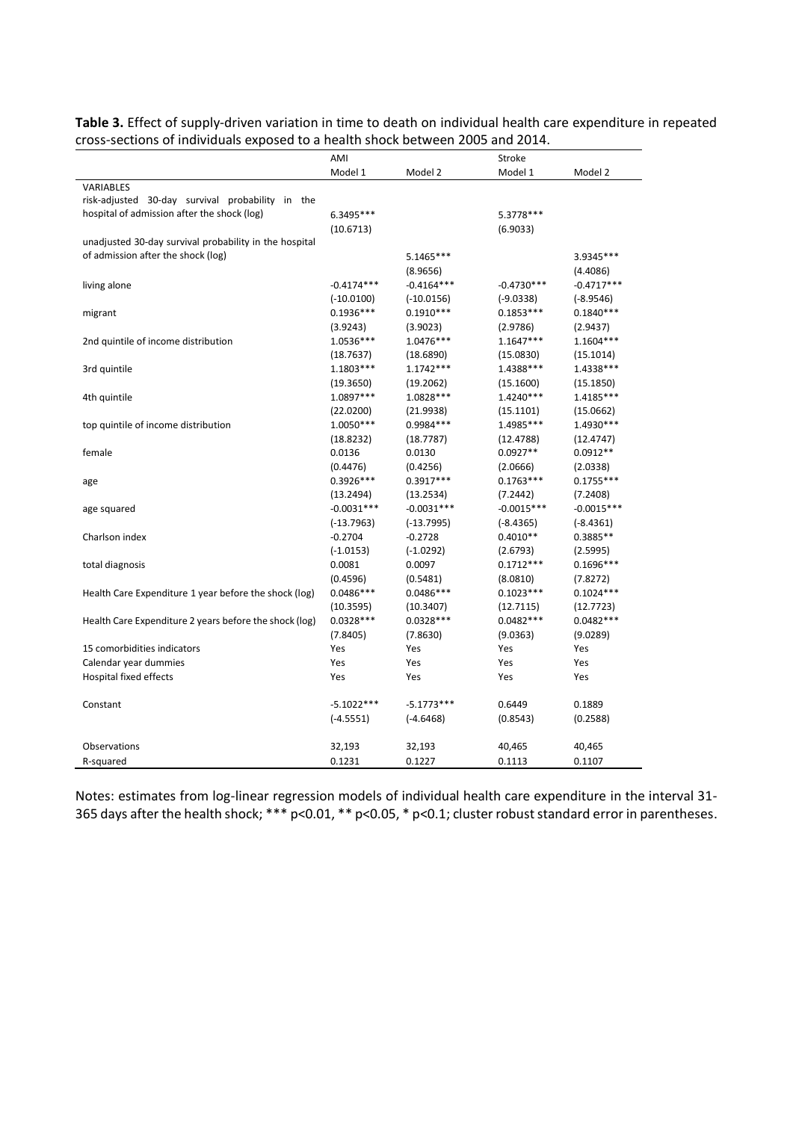| Table 3. Effect of supply-driven variation in time to death on individual health care expenditure in repeated |
|---------------------------------------------------------------------------------------------------------------|
| cross-sections of individuals exposed to a health shock between 2005 and 2014.                                |

|                                                        | AMI          |              | Stroke       |              |
|--------------------------------------------------------|--------------|--------------|--------------|--------------|
|                                                        | Model 1      | Model 2      | Model 1      | Model 2      |
| <b>VARIABLES</b>                                       |              |              |              |              |
| risk-adjusted 30-day survival probability in the       |              |              |              |              |
| hospital of admission after the shock (log)            | 6.3495***    |              | 5.3778***    |              |
|                                                        | (10.6713)    |              | (6.9033)     |              |
| unadjusted 30-day survival probability in the hospital |              |              |              |              |
| of admission after the shock (log)                     |              | 5.1465***    |              | 3.9345***    |
|                                                        |              | (8.9656)     |              | (4.4086)     |
| living alone                                           | $-0.4174***$ | $-0.4164***$ | $-0.4730***$ | $-0.4717***$ |
|                                                        | $(-10.0100)$ | $(-10.0156)$ | $(-9.0338)$  | $(-8.9546)$  |
| migrant                                                | $0.1936***$  | $0.1910***$  | $0.1853***$  | $0.1840***$  |
|                                                        | (3.9243)     | (3.9023)     | (2.9786)     | (2.9437)     |
| 2nd quintile of income distribution                    | 1.0536***    | 1.0476***    | $1.1647***$  | 1.1604***    |
|                                                        | (18.7637)    | (18.6890)    | (15.0830)    | (15.1014)    |
| 3rd quintile                                           | 1.1803 ***   | $1.1742***$  | 1.4388***    | 1.4338***    |
|                                                        | (19.3650)    | (19.2062)    | (15.1600)    | (15.1850)    |
| 4th quintile                                           | 1.0897***    | 1.0828 ***   | 1.4240***    | 1.4185***    |
|                                                        | (22.0200)    | (21.9938)    | (15.1101)    | (15.0662)    |
| top quintile of income distribution                    | 1.0050***    | 0.9984 ***   | 1.4985***    | 1.4930 ***   |
|                                                        | (18.8232)    | (18.7787)    | (12.4788)    | (12.4747)    |
| female                                                 | 0.0136       | 0.0130       | $0.0927**$   | $0.0912**$   |
|                                                        | (0.4476)     | (0.4256)     | (2.0666)     | (2.0338)     |
| age                                                    | $0.3926***$  | $0.3917***$  | $0.1763***$  | $0.1755***$  |
|                                                        | (13.2494)    | (13.2534)    | (7.2442)     | (7.2408)     |
| age squared                                            | $-0.0031***$ | $-0.0031***$ | $-0.0015***$ | $-0.0015***$ |
|                                                        | $(-13.7963)$ | $(-13.7995)$ | $(-8.4365)$  | $(-8.4361)$  |
| Charlson index                                         | $-0.2704$    | $-0.2728$    | $0.4010**$   | 0.3885**     |
|                                                        | $(-1.0153)$  | $(-1.0292)$  | (2.6793)     | (2.5995)     |
| total diagnosis                                        | 0.0081       | 0.0097       | $0.1712***$  | $0.1696***$  |
|                                                        | (0.4596)     | (0.5481)     | (8.0810)     | (7.8272)     |
| Health Care Expenditure 1 year before the shock (log)  | $0.0486***$  | $0.0486***$  | $0.1023***$  | $0.1024***$  |
|                                                        | (10.3595)    | (10.3407)    | (12.7115)    | (12.7723)    |
| Health Care Expenditure 2 years before the shock (log) | $0.0328***$  | $0.0328***$  | $0.0482***$  | $0.0482***$  |
|                                                        | (7.8405)     | (7.8630)     | (9.0363)     | (9.0289)     |
| 15 comorbidities indicators                            | Yes          | Yes          | Yes          | Yes          |
| Calendar year dummies                                  | Yes          | Yes          | Yes          | Yes          |
| Hospital fixed effects                                 | Yes          | Yes          | Yes          | Yes          |
| Constant                                               | $-5.1022***$ | $-5.1773***$ | 0.6449       | 0.1889       |
|                                                        | $(-4.5551)$  | $(-4.6468)$  | (0.8543)     | (0.2588)     |
| Observations                                           | 32,193       | 32,193       | 40,465       | 40,465       |
| R-squared                                              | 0.1231       | 0.1227       | 0.1113       | 0.1107       |

Notes: estimates from log-linear regression models of individual health care expenditure in the interval 31- 365 days after the health shock; \*\*\* p<0.01, \*\* p<0.05, \* p<0.1; cluster robust standard error in parentheses.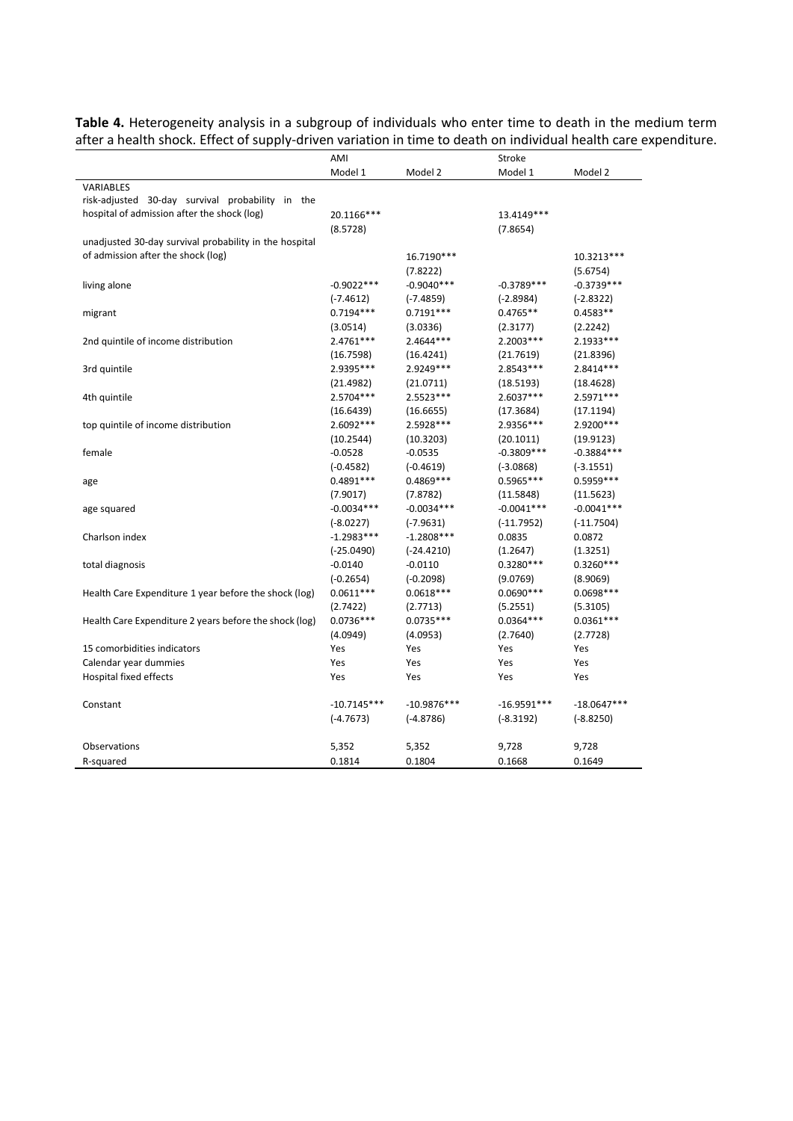**Table 4.** Heterogeneity analysis in a subgroup of individuals who enter time to death in the medium term after a health shock. Effect of supply-driven variation in time to death on individual health care expenditure.

|                                                        | AMI           |               | Stroke        |               |
|--------------------------------------------------------|---------------|---------------|---------------|---------------|
|                                                        | Model 1       | Model 2       | Model 1       | Model 2       |
| VARIABLES                                              |               |               |               |               |
| risk-adjusted 30-day survival probability in the       |               |               |               |               |
| hospital of admission after the shock (log)            | 20.1166***    |               | 13.4149***    |               |
|                                                        | (8.5728)      |               | (7.8654)      |               |
| unadjusted 30-day survival probability in the hospital |               |               |               |               |
| of admission after the shock (log)                     |               | 16.7190***    |               | 10.3213***    |
|                                                        |               | (7.8222)      |               | (5.6754)      |
| living alone                                           | $-0.9022***$  | $-0.9040***$  | $-0.3789***$  | $-0.3739***$  |
|                                                        | $(-7.4612)$   | $(-7.4859)$   | $(-2.8984)$   | $(-2.8322)$   |
| migrant                                                | $0.7194***$   | $0.7191***$   | $0.4765**$    | $0.4583**$    |
|                                                        | (3.0514)      | (3.0336)      | (2.3177)      | (2.2242)      |
| 2nd quintile of income distribution                    | 2.4761***     | 2.4644 ***    | 2.2003 ***    | 2.1933 ***    |
|                                                        | (16.7598)     | (16.4241)     | (21.7619)     | (21.8396)     |
| 3rd quintile                                           | 2.9395 ***    | 2.9249 ***    | 2.8543***     | 2.8414 ***    |
|                                                        | (21.4982)     | (21.0711)     | (18.5193)     | (18.4628)     |
| 4th quintile                                           | 2.5704 ***    | 2.5523 ***    | $2.6037***$   | 2.5971 ***    |
|                                                        | (16.6439)     | (16.6655)     | (17.3684)     | (17.1194)     |
| top quintile of income distribution                    | 2.6092 ***    | 2.5928 ***    | 2.9356***     | 2.9200 ***    |
|                                                        | (10.2544)     | (10.3203)     | (20.1011)     | (19.9123)     |
| female                                                 | $-0.0528$     | $-0.0535$     | $-0.3809***$  | $-0.3884***$  |
|                                                        | $(-0.4582)$   | $(-0.4619)$   | $(-3.0868)$   | $(-3.1551)$   |
| age                                                    | $0.4891***$   | 0.4869 ***    | $0.5965***$   | 0.5959 ***    |
|                                                        | (7.9017)      | (7.8782)      | (11.5848)     | (11.5623)     |
| age squared                                            | $-0.0034***$  | $-0.0034***$  | $-0.0041***$  | $-0.0041***$  |
|                                                        | $(-8.0227)$   | $(-7.9631)$   | $(-11.7952)$  | $(-11.7504)$  |
| Charlson index                                         | $-1.2983***$  | $-1.2808***$  | 0.0835        | 0.0872        |
|                                                        | $(-25.0490)$  | $(-24.4210)$  | (1.2647)      | (1.3251)      |
| total diagnosis                                        | $-0.0140$     | $-0.0110$     | $0.3280***$   | $0.3260***$   |
|                                                        | $(-0.2654)$   | $(-0.2098)$   | (9.0769)      | (8.9069)      |
| Health Care Expenditure 1 year before the shock (log)  | $0.0611***$   | $0.0618***$   | $0.0690***$   | 0.0698 ***    |
|                                                        | (2.7422)      | (2.7713)      | (5.2551)      | (5.3105)      |
| Health Care Expenditure 2 years before the shock (log) | $0.0736***$   | $0.0735***$   | $0.0364***$   | $0.0361***$   |
|                                                        | (4.0949)      | (4.0953)      | (2.7640)      | (2.7728)      |
| 15 comorbidities indicators                            | Yes           | Yes           | Yes           | Yes           |
| Calendar year dummies                                  | Yes           | Yes           | Yes           | Yes           |
| Hospital fixed effects                                 | Yes           | Yes           | Yes           | Yes           |
| Constant                                               | $-10.7145***$ | $-10.9876***$ | $-16.9591***$ | $-18.0647***$ |
|                                                        | $(-4.7673)$   | $(-4.8786)$   | $(-8.3192)$   | $(-8.8250)$   |
| Observations                                           | 5,352         | 5,352         | 9,728         | 9,728         |
| R-squared                                              | 0.1814        | 0.1804        | 0.1668        | 0.1649        |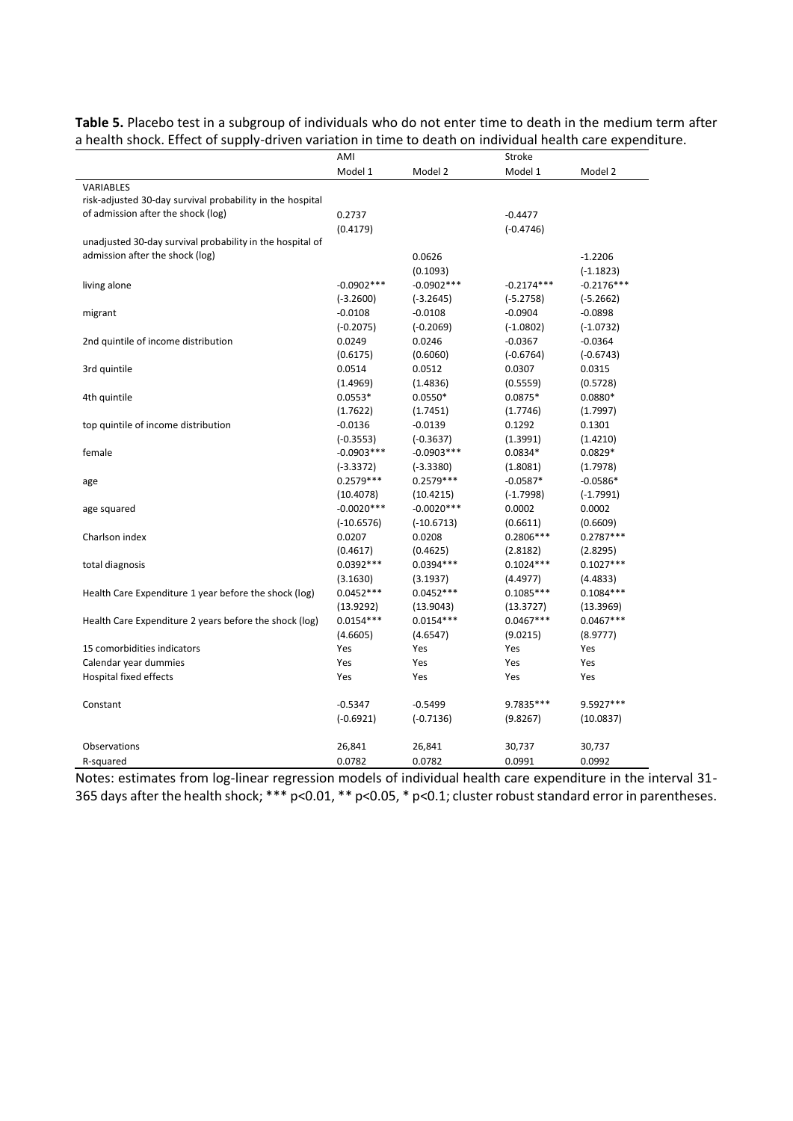|                                                           | AMI          |              | Stroke       |              |
|-----------------------------------------------------------|--------------|--------------|--------------|--------------|
|                                                           | Model 1      | Model 2      | Model 1      | Model 2      |
| <b>VARIABLES</b>                                          |              |              |              |              |
| risk-adjusted 30-day survival probability in the hospital |              |              |              |              |
| of admission after the shock (log)                        | 0.2737       |              | $-0.4477$    |              |
|                                                           | (0.4179)     |              | $(-0.4746)$  |              |
| unadjusted 30-day survival probability in the hospital of |              |              |              |              |
| admission after the shock (log)                           |              | 0.0626       |              | $-1.2206$    |
|                                                           |              | (0.1093)     |              | $(-1.1823)$  |
| living alone                                              | $-0.0902***$ | $-0.0902***$ | $-0.2174***$ | $-0.2176***$ |
|                                                           | $(-3.2600)$  | $(-3.2645)$  | $(-5.2758)$  | $(-5.2662)$  |
| migrant                                                   | $-0.0108$    | $-0.0108$    | $-0.0904$    | $-0.0898$    |
|                                                           | $(-0.2075)$  | $(-0.2069)$  | $(-1.0802)$  | $(-1.0732)$  |
| 2nd quintile of income distribution                       | 0.0249       | 0.0246       | $-0.0367$    | $-0.0364$    |
|                                                           | (0.6175)     | (0.6060)     | $(-0.6764)$  | $(-0.6743)$  |
| 3rd quintile                                              | 0.0514       | 0.0512       | 0.0307       | 0.0315       |
|                                                           | (1.4969)     | (1.4836)     | (0.5559)     | (0.5728)     |
| 4th quintile                                              | $0.0553*$    | $0.0550*$    | $0.0875*$    | $0.0880*$    |
|                                                           | (1.7622)     | (1.7451)     | (1.7746)     | (1.7997)     |
| top quintile of income distribution                       | $-0.0136$    | $-0.0139$    | 0.1292       | 0.1301       |
|                                                           | $(-0.3553)$  | $(-0.3637)$  | (1.3991)     | (1.4210)     |
| female                                                    | $-0.0903***$ | $-0.0903***$ | $0.0834*$    | $0.0829*$    |
|                                                           | $(-3.3372)$  | $(-3.3380)$  | (1.8081)     | (1.7978)     |
| age                                                       | $0.2579***$  | $0.2579***$  | $-0.0587*$   | $-0.0586*$   |
|                                                           | (10.4078)    | (10.4215)    | $(-1.7998)$  | $(-1.7991)$  |
| age squared                                               | $-0.0020***$ | $-0.0020***$ | 0.0002       | 0.0002       |
|                                                           | $(-10.6576)$ | $(-10.6713)$ | (0.6611)     | (0.6609)     |
| Charlson index                                            | 0.0207       | 0.0208       | 0.2806 ***   | $0.2787***$  |
|                                                           | (0.4617)     | (0.4625)     | (2.8182)     | (2.8295)     |
| total diagnosis                                           | $0.0392***$  | $0.0394***$  | $0.1024***$  | $0.1027***$  |
|                                                           | (3.1630)     | (3.1937)     | (4.4977)     | (4.4833)     |
| Health Care Expenditure 1 year before the shock (log)     | $0.0452***$  | $0.0452***$  | $0.1085***$  | $0.1084***$  |
|                                                           | (13.9292)    | (13.9043)    | (13.3727)    | (13.3969)    |
| Health Care Expenditure 2 years before the shock (log)    | $0.0154***$  | $0.0154***$  | $0.0467***$  | $0.0467***$  |
|                                                           | (4.6605)     | (4.6547)     | (9.0215)     | (8.9777)     |
| 15 comorbidities indicators                               | Yes          | Yes          | Yes          | Yes          |
| Calendar year dummies                                     | Yes          | Yes          | Yes          | Yes          |
| <b>Hospital fixed effects</b>                             | Yes          | Yes          | Yes          | Yes          |
|                                                           |              |              |              |              |
| Constant                                                  | $-0.5347$    | $-0.5499$    | 9.7835***    | 9.5927***    |
|                                                           | $(-0.6921)$  | $(-0.7136)$  | (9.8267)     | (10.0837)    |
| Observations                                              | 26,841       | 26,841       | 30,737       | 30,737       |
| R-squared                                                 | 0.0782       | 0.0782       | 0.0991       | 0.0992       |

**Table 5.** Placebo test in a subgroup of individuals who do not enter time to death in the medium term after a health shock. Effect of supply-driven variation in time to death on individual health care expenditure.

Notes: estimates from log-linear regression models of individual health care expenditure in the interval 31- 365 days after the health shock; \*\*\* p<0.01, \*\* p<0.05, \* p<0.1; cluster robust standard error in parentheses.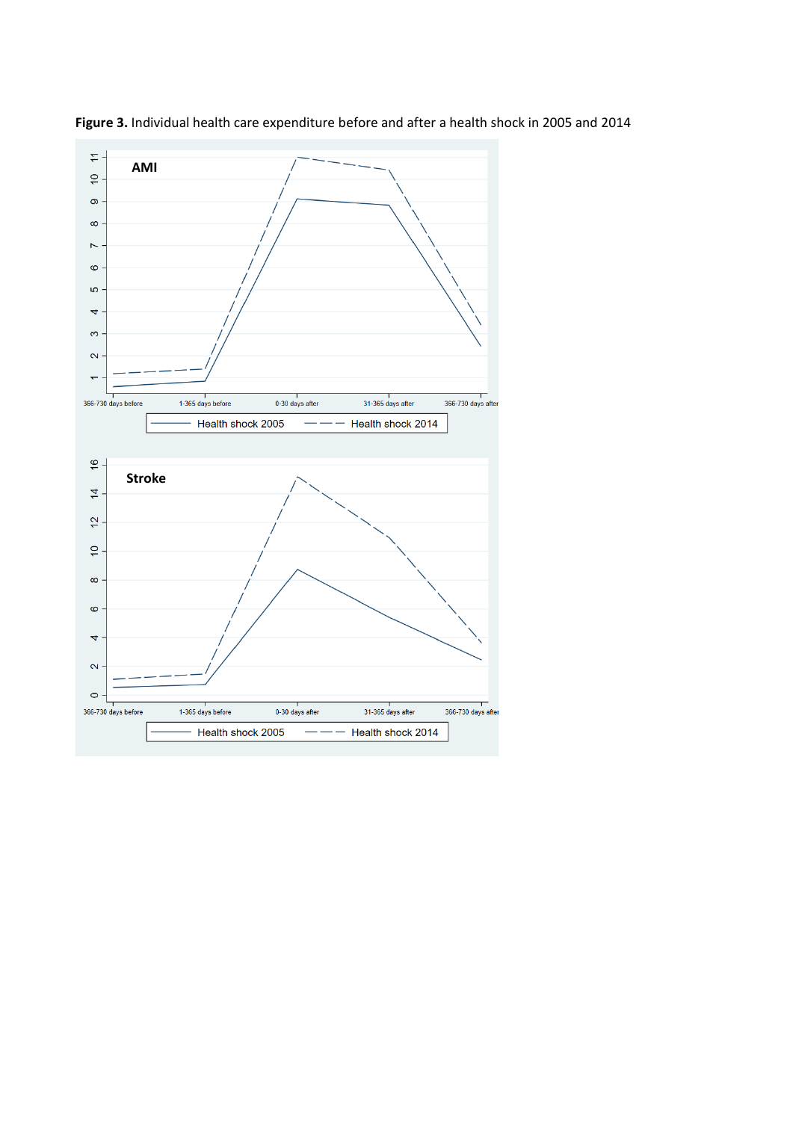

**Figure 3.** Individual health care expenditure before and after a health shock in 2005 and 2014